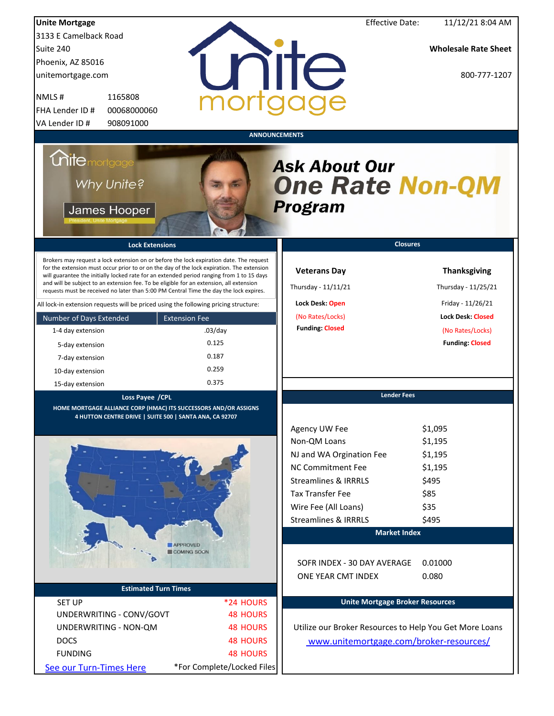| <b>Unite Mortgage</b>                                                                                                                                                                                                                                                                                                                                                                                                                                                                                                                                                                                                                  |                              | <b>Effective Date:</b>                                                                                     | 11/12/21 8:04 AM                                                                                                |
|----------------------------------------------------------------------------------------------------------------------------------------------------------------------------------------------------------------------------------------------------------------------------------------------------------------------------------------------------------------------------------------------------------------------------------------------------------------------------------------------------------------------------------------------------------------------------------------------------------------------------------------|------------------------------|------------------------------------------------------------------------------------------------------------|-----------------------------------------------------------------------------------------------------------------|
| 3133 E Camelback Road                                                                                                                                                                                                                                                                                                                                                                                                                                                                                                                                                                                                                  |                              |                                                                                                            |                                                                                                                 |
| Suite 240                                                                                                                                                                                                                                                                                                                                                                                                                                                                                                                                                                                                                              |                              |                                                                                                            | <b>Wholesale Rate Sheet</b>                                                                                     |
| Phoenix, AZ 85016                                                                                                                                                                                                                                                                                                                                                                                                                                                                                                                                                                                                                      |                              |                                                                                                            |                                                                                                                 |
| unitemortgage.com                                                                                                                                                                                                                                                                                                                                                                                                                                                                                                                                                                                                                      |                              | unite                                                                                                      | 800-777-1207                                                                                                    |
| NMLS#<br>1165808                                                                                                                                                                                                                                                                                                                                                                                                                                                                                                                                                                                                                       | mortac                       |                                                                                                            |                                                                                                                 |
| FHA Lender ID #<br>00068000060                                                                                                                                                                                                                                                                                                                                                                                                                                                                                                                                                                                                         |                              |                                                                                                            |                                                                                                                 |
| 908091000<br>VA Lender ID#                                                                                                                                                                                                                                                                                                                                                                                                                                                                                                                                                                                                             |                              |                                                                                                            |                                                                                                                 |
|                                                                                                                                                                                                                                                                                                                                                                                                                                                                                                                                                                                                                                        |                              | <b>ANNOUNCEMENTS</b>                                                                                       |                                                                                                                 |
| <i><b>Chitemortgage</b></i><br><b>Why Unite?</b><br>James Hooper                                                                                                                                                                                                                                                                                                                                                                                                                                                                                                                                                                       |                              | <b>Ask About Our</b><br><b>One Rate Non-QM</b><br><b>Program</b>                                           |                                                                                                                 |
| <b>Lock Extensions</b>                                                                                                                                                                                                                                                                                                                                                                                                                                                                                                                                                                                                                 |                              |                                                                                                            | <b>Closures</b>                                                                                                 |
| Brokers may request a lock extension on or before the lock expiration date. The request<br>for the extension must occur prior to or on the day of the lock expiration. The extension<br>will guarantee the initially locked rate for an extended period ranging from 1 to 15 days<br>and will be subject to an extension fee. To be eligible for an extension, all extension<br>requests must be received no later than 5:00 PM Central Time the day the lock expires.<br>All lock-in extension requests will be priced using the following pricing structure:<br>Number of Days Extended<br><b>Extension Fee</b><br>1-4 day extension | $.03$ /day                   | <b>Veterans Day</b><br>Thursday - 11/11/21<br>Lock Desk: Open<br>(No Rates/Locks)<br><b>Funding Closed</b> | <b>Thanksgiving</b><br>Thursday - 11/25/21<br>Friday - 11/26/21<br><b>Lock Desk: Closed</b><br>(No Rates/Locks) |
| 5-day extension                                                                                                                                                                                                                                                                                                                                                                                                                                                                                                                                                                                                                        | 0.125                        |                                                                                                            | <b>Funding: Closed</b>                                                                                          |
| 7-day extension                                                                                                                                                                                                                                                                                                                                                                                                                                                                                                                                                                                                                        | 0.187                        |                                                                                                            |                                                                                                                 |
| 10-day extension                                                                                                                                                                                                                                                                                                                                                                                                                                                                                                                                                                                                                       | 0.259                        |                                                                                                            |                                                                                                                 |
| 15-day extension                                                                                                                                                                                                                                                                                                                                                                                                                                                                                                                                                                                                                       | 0.375                        |                                                                                                            |                                                                                                                 |
| Loss Payee /CPL<br>HOME MORTGAGE ALLIANCE CORP (HMAC) ITS SUCCESSORS AND/OR ASSIGNS<br>4 HUTTON CENTRE DRIVE   SUITE 500   SANTA ANA, CA 92707                                                                                                                                                                                                                                                                                                                                                                                                                                                                                         |                              | <b>Lender Fees</b><br>Agency UW Fee                                                                        | \$1,095                                                                                                         |
|                                                                                                                                                                                                                                                                                                                                                                                                                                                                                                                                                                                                                                        |                              | Non-QM Loans                                                                                               | \$1,195                                                                                                         |
|                                                                                                                                                                                                                                                                                                                                                                                                                                                                                                                                                                                                                                        |                              | NJ and WA Orgination Fee                                                                                   | \$1,195                                                                                                         |
|                                                                                                                                                                                                                                                                                                                                                                                                                                                                                                                                                                                                                                        |                              | <b>NC Commitment Fee</b>                                                                                   | \$1,195                                                                                                         |
|                                                                                                                                                                                                                                                                                                                                                                                                                                                                                                                                                                                                                                        |                              | <b>Streamlines &amp; IRRRLS</b>                                                                            | \$495                                                                                                           |
|                                                                                                                                                                                                                                                                                                                                                                                                                                                                                                                                                                                                                                        |                              | <b>Tax Transfer Fee</b>                                                                                    | \$85                                                                                                            |
|                                                                                                                                                                                                                                                                                                                                                                                                                                                                                                                                                                                                                                        |                              | Wire Fee (All Loans)                                                                                       | \$35                                                                                                            |
|                                                                                                                                                                                                                                                                                                                                                                                                                                                                                                                                                                                                                                        |                              | <b>Streamlines &amp; IRRRLS</b>                                                                            | \$495                                                                                                           |
| <b>APPROVED</b>                                                                                                                                                                                                                                                                                                                                                                                                                                                                                                                                                                                                                        | COMING SOON                  | <b>Market Index</b>                                                                                        |                                                                                                                 |
|                                                                                                                                                                                                                                                                                                                                                                                                                                                                                                                                                                                                                                        |                              | SOFR INDEX - 30 DAY AVERAGE                                                                                | 0.01000                                                                                                         |
| <b>Estimated Turn Times</b>                                                                                                                                                                                                                                                                                                                                                                                                                                                                                                                                                                                                            |                              | ONE YEAR CMT INDEX                                                                                         | 0.080                                                                                                           |
|                                                                                                                                                                                                                                                                                                                                                                                                                                                                                                                                                                                                                                        |                              | <b>Unite Mortgage Broker Resources</b>                                                                     |                                                                                                                 |
| <b>SET UP</b><br>UNDERWRITING - CONV/GOVT                                                                                                                                                                                                                                                                                                                                                                                                                                                                                                                                                                                              | *24 HOURS<br><b>48 HOURS</b> |                                                                                                            |                                                                                                                 |
|                                                                                                                                                                                                                                                                                                                                                                                                                                                                                                                                                                                                                                        | <b>48 HOURS</b>              | Utilize our Broker Resources to Help You Get More Loans                                                    |                                                                                                                 |
| UNDERWRITING - NON-QM                                                                                                                                                                                                                                                                                                                                                                                                                                                                                                                                                                                                                  |                              |                                                                                                            |                                                                                                                 |
| <b>DOCS</b>                                                                                                                                                                                                                                                                                                                                                                                                                                                                                                                                                                                                                            | <b>48 HOURS</b>              | www.unitemortgage.com/broker-resources/                                                                    |                                                                                                                 |
| <b>FUNDING</b>                                                                                                                                                                                                                                                                                                                                                                                                                                                                                                                                                                                                                         | <b>48 HOURS</b>              |                                                                                                            |                                                                                                                 |
| See our Turn-Times Here                                                                                                                                                                                                                                                                                                                                                                                                                                                                                                                                                                                                                | *For Complete/Locked Files   |                                                                                                            |                                                                                                                 |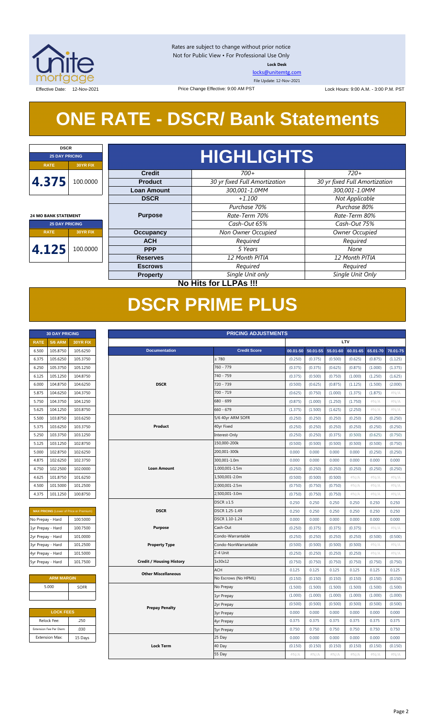

Rates are subject to change without prior notice Not for Public View • For Professional Use Only **Lock Desk**

[locks@unitemtg.com](mailto:locks@unitemtg.com)

File Update: 12-Nov-2021

Effective Date: 12-Nov-2021 **Date:** 12-Nov-2021 **Research 2002 A.M. PST** Effective: 9:00 AM PST Lock Hours: 9:00 A.M. - 3:00 P.M. PST

# **ONE RATE - DSCR/ Bank Statements**

Price Change Effective: 9:00 AM PST

| <b>DSCR</b>                 |                      |                    |                               |                               |  |  |  |  |  |  |
|-----------------------------|----------------------|--------------------|-------------------------------|-------------------------------|--|--|--|--|--|--|
| <b>25 DAY PRICING</b>       |                      |                    | HIGHLIGHTS                    |                               |  |  |  |  |  |  |
| <b>RATE</b>                 | <b>30YR FIX</b>      |                    |                               |                               |  |  |  |  |  |  |
|                             |                      | <b>Credit</b>      | $700+$                        | $720+$                        |  |  |  |  |  |  |
| 4.375                       | 100.0000             | <b>Product</b>     | 30 yr fixed Full Amortization | 30 yr fixed Full Amortization |  |  |  |  |  |  |
|                             |                      | <b>Loan Amount</b> | 300,001-1.0MM                 | 300,001-1.0MM                 |  |  |  |  |  |  |
|                             |                      | <b>DSCR</b>        | $+1.100$                      | Not Applicable                |  |  |  |  |  |  |
|                             |                      |                    | Purchase 70%                  | Purchase 80%                  |  |  |  |  |  |  |
| <b>24 MO BANK STATEMENT</b> |                      | <b>Purpose</b>     | Rate-Term 70%                 | Rate-Term 80%                 |  |  |  |  |  |  |
| <b>25 DAY PRICING</b>       |                      |                    | Cash-Out 65%                  | Cash-Out 75%                  |  |  |  |  |  |  |
| <b>RATE</b>                 | 30YR FIX             | <b>Occupancy</b>   | Non Owner Occupied            | Owner Occupied                |  |  |  |  |  |  |
|                             |                      | <b>ACH</b>         | Required                      | Required                      |  |  |  |  |  |  |
| 4.125                       | 100.0000             | <b>PPP</b>         | 5 Years                       | None                          |  |  |  |  |  |  |
|                             |                      | <b>Reserves</b>    | 12 Month PITIA                | 12 Month PITIA                |  |  |  |  |  |  |
|                             |                      | <b>Escrows</b>     | Required                      | Required                      |  |  |  |  |  |  |
|                             |                      | <b>Property</b>    | Single Unit only              | Single Unit Only              |  |  |  |  |  |  |
|                             | No Hitchard LDAo III |                    |                               |                               |  |  |  |  |  |  |

### **No Hits for LLPAs !!!**

# **DSCR PRIME PLUS**

| <b>30 DAY PRICING</b> |                |                 |  |  |  |  |  |
|-----------------------|----------------|-----------------|--|--|--|--|--|
| <b>RATE</b>           | <b>5/6 ARM</b> | <b>30YR FIX</b> |  |  |  |  |  |
| 6.500                 | 105.8750       | 105.6250        |  |  |  |  |  |
| 6.375                 | 105.6250       | 105.3750        |  |  |  |  |  |
| 6.250                 | 105.3750       | 105.1250        |  |  |  |  |  |
| 6.125                 | 105.1250       | 104.8750        |  |  |  |  |  |
| 6.000                 | 104.8750       | 104.6250        |  |  |  |  |  |
| 5.875                 | 104.6250       | 104.3750        |  |  |  |  |  |
| 5.750                 | 104.3750       | 104.1250        |  |  |  |  |  |
| 5.625                 | 104.1250       | 103.8750        |  |  |  |  |  |
| 5.500                 | 103.8750       | 103.6250        |  |  |  |  |  |
| 5.375                 | 103.6250       | 103.3750        |  |  |  |  |  |
| 5.250                 | 103.3750       | 103.1250        |  |  |  |  |  |
| 5.125                 | 103.1250       | 102.8750        |  |  |  |  |  |
| 5.000                 | 102.8750       | 102.6250        |  |  |  |  |  |
| 4.875                 | 102.6250       | 102.3750        |  |  |  |  |  |
| 4.750                 | 102.2500       | 102,0000        |  |  |  |  |  |
| 4.625                 | 101.8750       | 101.6250        |  |  |  |  |  |
| 4.500                 | 101.5000       | 101.2500        |  |  |  |  |  |
| 4.375                 | 101.1250       | 100.8750        |  |  |  |  |  |

| <b>MAX PRICING</b> (Lower of Price or Premium) |          |  |  |  |  |  |  |  |
|------------------------------------------------|----------|--|--|--|--|--|--|--|
| No Prepay - Hard                               | 100.5000 |  |  |  |  |  |  |  |
| 1yr Prepay - Hard                              | 100.7500 |  |  |  |  |  |  |  |
| 2yr Prepay - Hard                              | 101.0000 |  |  |  |  |  |  |  |
| 3yr Prepay - Hard                              | 101.2500 |  |  |  |  |  |  |  |
| 4yr Prepay - Hard                              | 101.5000 |  |  |  |  |  |  |  |
| 5yr Prepay - Hard                              | 101.7500 |  |  |  |  |  |  |  |

| <b>ARM MARGIN</b> |             |
|-------------------|-------------|
| 5.000             | <b>SOFR</b> |
|                   |             |

| <b>LOCK FEES</b>        |         |  |  |  |  |  |
|-------------------------|---------|--|--|--|--|--|
| Relock Fee:             | .250    |  |  |  |  |  |
| Extension Fee Per Diem: | .030    |  |  |  |  |  |
| <b>Extension Max:</b>   | 15 Days |  |  |  |  |  |

| LTV<br><b>5/6 ARM</b><br><b>RATE</b><br>30YR FIX<br><b>Credit Score</b><br>105.8750<br><b>Documentation</b><br>6.500<br>105.6250<br>00.01-50<br>50.01-55<br>55.01-60<br>60.01-65<br>65.01-70<br>$\geq 780$<br>6.375<br>105.6250<br>105.3750<br>(0.375)<br>(0.500)<br>(0.625)<br>(0.875)<br>(0.250)<br>(1.125)<br>760 - 779<br>105.3750<br>105.1250<br>(0.375)<br>(1.000)<br>6.250<br>(0.375)<br>(0.625)<br>(0.875)<br>(1.375)<br>740 - 759<br>6.125<br>105.1250<br>104.8750<br>(0.375)<br>(0.500)<br>(0.750)<br>(1.000)<br>(1.250)<br>(1.625)<br><b>DSCR</b><br>6.000<br>104.8750<br>104.6250<br>720 - 739<br>(0.500)<br>(0.625)<br>(0.875)<br>(1.125)<br>(1.500)<br>(2.000)<br>104.3750<br>700 - 719<br>5.875<br>104.6250<br>(0.625)<br>(0.750)<br>(1.000)<br>(1.375)<br>(1.875)<br>#N/A<br>680 - 699<br>5.750<br>104.3750<br>104.1250<br>(0.875)<br>(1.000)<br>(1.250)<br>(1.750)<br>#N/A<br>#N/A<br>$660 - 679$<br>5.625<br>104.1250<br>103.8750<br>(1.375)<br>(1.500)<br>(1.625)<br>(2.250)<br>$\#N/A$<br>#N/A<br>5/6 40yr ARM SOFR<br>5.500<br>103.8750<br>103.6250<br>(0.250)<br>(0.250)<br>(0.250)<br>(0.250)<br>(0.250)<br>(0.250)<br>Product<br>40yr Fixed<br>5.375<br>103.6250<br>103.3750<br>(0.250)<br>(0.250)<br>(0.250)<br>(0.250)<br>(0.250)<br>(0.250)<br>103.3750<br>Interest-Only<br>5.250<br>103.1250<br>(0.250)<br>(0.250)<br>(0.375)<br>(0.500)<br>(0.625)<br>(0.750)<br>150,000-200k<br>102.8750<br>5.125<br>103.1250<br>(0.500)<br>(0.500)<br>(0.500)<br>(0.500)<br>(0.500)<br>(0.750)<br>102.8750<br>102.6250<br>200,001-300k<br>5.000<br>0.000<br>0.000<br>0.000<br>0.000<br>(0.250)<br>(0.250)<br>300,001-1.0m<br>102.3750<br>4.875<br>102.6250<br>0.000<br>0.000<br>0.000<br>0.000<br>0.000<br>0.000<br>4.750<br>102.2500<br>102.0000<br><b>Loan Amount</b><br>1,000,001-1.5m<br>(0.250)<br>(0.250)<br>(0.250)<br>(0.250)<br>(0.250)<br>(0.250)<br>4.625<br>101.8750<br>101.6250<br>1,500,001-2.0m<br>(0.500)<br>(0.500)<br>(0.500)<br>$\#N/A$<br>$\#N/A$<br>#N/A<br>2,000,001-2.5m<br>101.2500<br>4.500<br>101.5000<br>(0.750)<br>(0.750)<br>(0.750)<br>#N/A<br>#N/A<br>#N/A<br>2,500,001-3.0m<br>4.375<br>101.1250<br>100.8750<br>(0.750)<br>(0.750)<br>(0.750)<br>$\#N/A$<br>$\#N/A$<br>#N/A<br>$DSCR \geq 1.5$<br>0.250<br>0.250<br>0.250<br>0.250<br>0.250<br>0.250<br><b>DSCR</b><br>DSCR 1.25-1.49<br>0.250<br>0.250<br>0.250<br>0.250<br>0.250<br>0.250<br>MAX PRICING (Lower of Price or Premium)<br>DSCR 1.10-1.24<br>100.5000<br>0.000<br>0.000<br>0.000<br>0.000<br>0.000<br>0.000<br>No Prepay - Hard<br>100.7500<br>Cash-Out<br>$\#N/A$<br>$\#N/A$<br>1yr Prepay - Hard<br><b>Purpose</b><br>(0.250)<br>(0.375)<br>(0.375)<br>(0.375)<br>Condo-Warrantable<br>2yr Prepay - Hard<br>101.0000<br>(0.250)<br>(0.250)<br>(0.250)<br>(0.250)<br>(0.500)<br>(0.500)<br>Condo-NonWarrantable<br>3yr Prepay - Hard<br>101.2500<br><b>Property Type</b><br>(0.500)<br>(0.500)<br>(0.500)<br>(0.500)<br>#N/A<br>#N/A<br>2-4 Unit<br>4yr Prepay - Hard<br>101.5000<br>(0.250)<br>(0.250)<br>(0.250)<br>(0.250)<br>$\#N/A$<br>#N/A<br>101.7500<br><b>Credit / Housing History</b><br>1x30x12<br>5yr Prepay - Hard<br>(0.750)<br>(0.750)<br>(0.750)<br>(0.750)<br>(0.750)<br>(0.750)<br>ACH<br>0.125<br>0.125<br>0.125<br>0.125<br>0.125<br>0.125<br><b>Other Miscellaneous</b><br><b>ARM MARGIN</b><br>No Escrows (No HPML)<br>(0.150)<br>(0.150)<br>(0.150)<br>(0.150)<br>(0.150)<br>(0.150)<br>5.000<br>SOFR<br>No Prepay<br>(1.500)<br>(1.500)<br>(1.500)<br>(1.500)<br>(1.500)<br>(1.500)<br>(1.000)<br>(1.000)<br>(1.000)<br>(1.000)<br>(1.000)<br>(1.000)<br>1yr Prepay<br>(0.500)<br>(0.500)<br>(0.500)<br>(0.500)<br>(0.500)<br>(0.500)<br>2yr Prepay<br><b>Prepay Penalty</b><br><b>LOCK FEES</b><br>0.000<br>0.000<br>0.000<br>0.000<br>0.000<br>0.000<br><b>3yr Prepay</b><br>Relock Fee:<br>.250<br>0.375<br>0.375<br>0.375<br>0.375<br>0.375<br>0.375<br>4yr Prepay<br>.030<br>0.750<br>0.750<br>0.750<br>0.750<br>0.750<br>0.750<br>Extension Fee Per Diem:<br><b>5yr Prepay</b><br><b>Extension Max:</b><br>25 Day<br>0.000<br>0.000<br>0.000<br>0.000<br>0.000<br>0.000<br>15 Days<br><b>Lock Term</b><br>40 Day<br>(0.150)<br>(0.150)<br>(0.150)<br>(0.150)<br>(0.150)<br>(0.150)<br>55 Day<br>#N/A<br>$\#N/A$<br>#N/A<br>#N/A<br>#N/A<br>#N/A | <b>PRICING ADJUSTMENTS</b><br><b>30 DAY PRICING</b> |  |  |  |  |  |  |  |  |          |
|----------------------------------------------------------------------------------------------------------------------------------------------------------------------------------------------------------------------------------------------------------------------------------------------------------------------------------------------------------------------------------------------------------------------------------------------------------------------------------------------------------------------------------------------------------------------------------------------------------------------------------------------------------------------------------------------------------------------------------------------------------------------------------------------------------------------------------------------------------------------------------------------------------------------------------------------------------------------------------------------------------------------------------------------------------------------------------------------------------------------------------------------------------------------------------------------------------------------------------------------------------------------------------------------------------------------------------------------------------------------------------------------------------------------------------------------------------------------------------------------------------------------------------------------------------------------------------------------------------------------------------------------------------------------------------------------------------------------------------------------------------------------------------------------------------------------------------------------------------------------------------------------------------------------------------------------------------------------------------------------------------------------------------------------------------------------------------------------------------------------------------------------------------------------------------------------------------------------------------------------------------------------------------------------------------------------------------------------------------------------------------------------------------------------------------------------------------------------------------------------------------------------------------------------------------------------------------------------------------------------------------------------------------------------------------------------------------------------------------------------------------------------------------------------------------------------------------------------------------------------------------------------------------------------------------------------------------------------------------------------------------------------------------------------------------------------------------------------------------------------------------------------------------------------------------------------------------------------------------------------------------------------------------------------------------------------------------------------------------------------------------------------------------------------------------------------------------------------------------------------------------------------------------------------------------------------------------------------------------------------------------------------------------------------------------------------------------------------------------------------------------------------------------------------------------------------------------------------------------------------------------------------------------------------------------------------------------------------------------------------------------------------------------------------------------------------------------------------------------------------------------------------------------------------------------------------------------------------------------------------------------------------------------------------|-----------------------------------------------------|--|--|--|--|--|--|--|--|----------|
|                                                                                                                                                                                                                                                                                                                                                                                                                                                                                                                                                                                                                                                                                                                                                                                                                                                                                                                                                                                                                                                                                                                                                                                                                                                                                                                                                                                                                                                                                                                                                                                                                                                                                                                                                                                                                                                                                                                                                                                                                                                                                                                                                                                                                                                                                                                                                                                                                                                                                                                                                                                                                                                                                                                                                                                                                                                                                                                                                                                                                                                                                                                                                                                                                                                                                                                                                                                                                                                                                                                                                                                                                                                                                                                                                                                                                                                                                                                                                                                                                                                                                                                                                                                                                                                                                              |                                                     |  |  |  |  |  |  |  |  |          |
|                                                                                                                                                                                                                                                                                                                                                                                                                                                                                                                                                                                                                                                                                                                                                                                                                                                                                                                                                                                                                                                                                                                                                                                                                                                                                                                                                                                                                                                                                                                                                                                                                                                                                                                                                                                                                                                                                                                                                                                                                                                                                                                                                                                                                                                                                                                                                                                                                                                                                                                                                                                                                                                                                                                                                                                                                                                                                                                                                                                                                                                                                                                                                                                                                                                                                                                                                                                                                                                                                                                                                                                                                                                                                                                                                                                                                                                                                                                                                                                                                                                                                                                                                                                                                                                                                              |                                                     |  |  |  |  |  |  |  |  | 70.01-75 |
|                                                                                                                                                                                                                                                                                                                                                                                                                                                                                                                                                                                                                                                                                                                                                                                                                                                                                                                                                                                                                                                                                                                                                                                                                                                                                                                                                                                                                                                                                                                                                                                                                                                                                                                                                                                                                                                                                                                                                                                                                                                                                                                                                                                                                                                                                                                                                                                                                                                                                                                                                                                                                                                                                                                                                                                                                                                                                                                                                                                                                                                                                                                                                                                                                                                                                                                                                                                                                                                                                                                                                                                                                                                                                                                                                                                                                                                                                                                                                                                                                                                                                                                                                                                                                                                                                              |                                                     |  |  |  |  |  |  |  |  |          |
|                                                                                                                                                                                                                                                                                                                                                                                                                                                                                                                                                                                                                                                                                                                                                                                                                                                                                                                                                                                                                                                                                                                                                                                                                                                                                                                                                                                                                                                                                                                                                                                                                                                                                                                                                                                                                                                                                                                                                                                                                                                                                                                                                                                                                                                                                                                                                                                                                                                                                                                                                                                                                                                                                                                                                                                                                                                                                                                                                                                                                                                                                                                                                                                                                                                                                                                                                                                                                                                                                                                                                                                                                                                                                                                                                                                                                                                                                                                                                                                                                                                                                                                                                                                                                                                                                              |                                                     |  |  |  |  |  |  |  |  |          |
|                                                                                                                                                                                                                                                                                                                                                                                                                                                                                                                                                                                                                                                                                                                                                                                                                                                                                                                                                                                                                                                                                                                                                                                                                                                                                                                                                                                                                                                                                                                                                                                                                                                                                                                                                                                                                                                                                                                                                                                                                                                                                                                                                                                                                                                                                                                                                                                                                                                                                                                                                                                                                                                                                                                                                                                                                                                                                                                                                                                                                                                                                                                                                                                                                                                                                                                                                                                                                                                                                                                                                                                                                                                                                                                                                                                                                                                                                                                                                                                                                                                                                                                                                                                                                                                                                              |                                                     |  |  |  |  |  |  |  |  |          |
|                                                                                                                                                                                                                                                                                                                                                                                                                                                                                                                                                                                                                                                                                                                                                                                                                                                                                                                                                                                                                                                                                                                                                                                                                                                                                                                                                                                                                                                                                                                                                                                                                                                                                                                                                                                                                                                                                                                                                                                                                                                                                                                                                                                                                                                                                                                                                                                                                                                                                                                                                                                                                                                                                                                                                                                                                                                                                                                                                                                                                                                                                                                                                                                                                                                                                                                                                                                                                                                                                                                                                                                                                                                                                                                                                                                                                                                                                                                                                                                                                                                                                                                                                                                                                                                                                              |                                                     |  |  |  |  |  |  |  |  |          |
|                                                                                                                                                                                                                                                                                                                                                                                                                                                                                                                                                                                                                                                                                                                                                                                                                                                                                                                                                                                                                                                                                                                                                                                                                                                                                                                                                                                                                                                                                                                                                                                                                                                                                                                                                                                                                                                                                                                                                                                                                                                                                                                                                                                                                                                                                                                                                                                                                                                                                                                                                                                                                                                                                                                                                                                                                                                                                                                                                                                                                                                                                                                                                                                                                                                                                                                                                                                                                                                                                                                                                                                                                                                                                                                                                                                                                                                                                                                                                                                                                                                                                                                                                                                                                                                                                              |                                                     |  |  |  |  |  |  |  |  |          |
|                                                                                                                                                                                                                                                                                                                                                                                                                                                                                                                                                                                                                                                                                                                                                                                                                                                                                                                                                                                                                                                                                                                                                                                                                                                                                                                                                                                                                                                                                                                                                                                                                                                                                                                                                                                                                                                                                                                                                                                                                                                                                                                                                                                                                                                                                                                                                                                                                                                                                                                                                                                                                                                                                                                                                                                                                                                                                                                                                                                                                                                                                                                                                                                                                                                                                                                                                                                                                                                                                                                                                                                                                                                                                                                                                                                                                                                                                                                                                                                                                                                                                                                                                                                                                                                                                              |                                                     |  |  |  |  |  |  |  |  |          |
|                                                                                                                                                                                                                                                                                                                                                                                                                                                                                                                                                                                                                                                                                                                                                                                                                                                                                                                                                                                                                                                                                                                                                                                                                                                                                                                                                                                                                                                                                                                                                                                                                                                                                                                                                                                                                                                                                                                                                                                                                                                                                                                                                                                                                                                                                                                                                                                                                                                                                                                                                                                                                                                                                                                                                                                                                                                                                                                                                                                                                                                                                                                                                                                                                                                                                                                                                                                                                                                                                                                                                                                                                                                                                                                                                                                                                                                                                                                                                                                                                                                                                                                                                                                                                                                                                              |                                                     |  |  |  |  |  |  |  |  |          |
|                                                                                                                                                                                                                                                                                                                                                                                                                                                                                                                                                                                                                                                                                                                                                                                                                                                                                                                                                                                                                                                                                                                                                                                                                                                                                                                                                                                                                                                                                                                                                                                                                                                                                                                                                                                                                                                                                                                                                                                                                                                                                                                                                                                                                                                                                                                                                                                                                                                                                                                                                                                                                                                                                                                                                                                                                                                                                                                                                                                                                                                                                                                                                                                                                                                                                                                                                                                                                                                                                                                                                                                                                                                                                                                                                                                                                                                                                                                                                                                                                                                                                                                                                                                                                                                                                              |                                                     |  |  |  |  |  |  |  |  |          |
|                                                                                                                                                                                                                                                                                                                                                                                                                                                                                                                                                                                                                                                                                                                                                                                                                                                                                                                                                                                                                                                                                                                                                                                                                                                                                                                                                                                                                                                                                                                                                                                                                                                                                                                                                                                                                                                                                                                                                                                                                                                                                                                                                                                                                                                                                                                                                                                                                                                                                                                                                                                                                                                                                                                                                                                                                                                                                                                                                                                                                                                                                                                                                                                                                                                                                                                                                                                                                                                                                                                                                                                                                                                                                                                                                                                                                                                                                                                                                                                                                                                                                                                                                                                                                                                                                              |                                                     |  |  |  |  |  |  |  |  |          |
|                                                                                                                                                                                                                                                                                                                                                                                                                                                                                                                                                                                                                                                                                                                                                                                                                                                                                                                                                                                                                                                                                                                                                                                                                                                                                                                                                                                                                                                                                                                                                                                                                                                                                                                                                                                                                                                                                                                                                                                                                                                                                                                                                                                                                                                                                                                                                                                                                                                                                                                                                                                                                                                                                                                                                                                                                                                                                                                                                                                                                                                                                                                                                                                                                                                                                                                                                                                                                                                                                                                                                                                                                                                                                                                                                                                                                                                                                                                                                                                                                                                                                                                                                                                                                                                                                              |                                                     |  |  |  |  |  |  |  |  |          |
|                                                                                                                                                                                                                                                                                                                                                                                                                                                                                                                                                                                                                                                                                                                                                                                                                                                                                                                                                                                                                                                                                                                                                                                                                                                                                                                                                                                                                                                                                                                                                                                                                                                                                                                                                                                                                                                                                                                                                                                                                                                                                                                                                                                                                                                                                                                                                                                                                                                                                                                                                                                                                                                                                                                                                                                                                                                                                                                                                                                                                                                                                                                                                                                                                                                                                                                                                                                                                                                                                                                                                                                                                                                                                                                                                                                                                                                                                                                                                                                                                                                                                                                                                                                                                                                                                              |                                                     |  |  |  |  |  |  |  |  |          |
|                                                                                                                                                                                                                                                                                                                                                                                                                                                                                                                                                                                                                                                                                                                                                                                                                                                                                                                                                                                                                                                                                                                                                                                                                                                                                                                                                                                                                                                                                                                                                                                                                                                                                                                                                                                                                                                                                                                                                                                                                                                                                                                                                                                                                                                                                                                                                                                                                                                                                                                                                                                                                                                                                                                                                                                                                                                                                                                                                                                                                                                                                                                                                                                                                                                                                                                                                                                                                                                                                                                                                                                                                                                                                                                                                                                                                                                                                                                                                                                                                                                                                                                                                                                                                                                                                              |                                                     |  |  |  |  |  |  |  |  |          |
|                                                                                                                                                                                                                                                                                                                                                                                                                                                                                                                                                                                                                                                                                                                                                                                                                                                                                                                                                                                                                                                                                                                                                                                                                                                                                                                                                                                                                                                                                                                                                                                                                                                                                                                                                                                                                                                                                                                                                                                                                                                                                                                                                                                                                                                                                                                                                                                                                                                                                                                                                                                                                                                                                                                                                                                                                                                                                                                                                                                                                                                                                                                                                                                                                                                                                                                                                                                                                                                                                                                                                                                                                                                                                                                                                                                                                                                                                                                                                                                                                                                                                                                                                                                                                                                                                              |                                                     |  |  |  |  |  |  |  |  |          |
|                                                                                                                                                                                                                                                                                                                                                                                                                                                                                                                                                                                                                                                                                                                                                                                                                                                                                                                                                                                                                                                                                                                                                                                                                                                                                                                                                                                                                                                                                                                                                                                                                                                                                                                                                                                                                                                                                                                                                                                                                                                                                                                                                                                                                                                                                                                                                                                                                                                                                                                                                                                                                                                                                                                                                                                                                                                                                                                                                                                                                                                                                                                                                                                                                                                                                                                                                                                                                                                                                                                                                                                                                                                                                                                                                                                                                                                                                                                                                                                                                                                                                                                                                                                                                                                                                              |                                                     |  |  |  |  |  |  |  |  |          |
|                                                                                                                                                                                                                                                                                                                                                                                                                                                                                                                                                                                                                                                                                                                                                                                                                                                                                                                                                                                                                                                                                                                                                                                                                                                                                                                                                                                                                                                                                                                                                                                                                                                                                                                                                                                                                                                                                                                                                                                                                                                                                                                                                                                                                                                                                                                                                                                                                                                                                                                                                                                                                                                                                                                                                                                                                                                                                                                                                                                                                                                                                                                                                                                                                                                                                                                                                                                                                                                                                                                                                                                                                                                                                                                                                                                                                                                                                                                                                                                                                                                                                                                                                                                                                                                                                              |                                                     |  |  |  |  |  |  |  |  |          |
|                                                                                                                                                                                                                                                                                                                                                                                                                                                                                                                                                                                                                                                                                                                                                                                                                                                                                                                                                                                                                                                                                                                                                                                                                                                                                                                                                                                                                                                                                                                                                                                                                                                                                                                                                                                                                                                                                                                                                                                                                                                                                                                                                                                                                                                                                                                                                                                                                                                                                                                                                                                                                                                                                                                                                                                                                                                                                                                                                                                                                                                                                                                                                                                                                                                                                                                                                                                                                                                                                                                                                                                                                                                                                                                                                                                                                                                                                                                                                                                                                                                                                                                                                                                                                                                                                              |                                                     |  |  |  |  |  |  |  |  |          |
|                                                                                                                                                                                                                                                                                                                                                                                                                                                                                                                                                                                                                                                                                                                                                                                                                                                                                                                                                                                                                                                                                                                                                                                                                                                                                                                                                                                                                                                                                                                                                                                                                                                                                                                                                                                                                                                                                                                                                                                                                                                                                                                                                                                                                                                                                                                                                                                                                                                                                                                                                                                                                                                                                                                                                                                                                                                                                                                                                                                                                                                                                                                                                                                                                                                                                                                                                                                                                                                                                                                                                                                                                                                                                                                                                                                                                                                                                                                                                                                                                                                                                                                                                                                                                                                                                              |                                                     |  |  |  |  |  |  |  |  |          |
|                                                                                                                                                                                                                                                                                                                                                                                                                                                                                                                                                                                                                                                                                                                                                                                                                                                                                                                                                                                                                                                                                                                                                                                                                                                                                                                                                                                                                                                                                                                                                                                                                                                                                                                                                                                                                                                                                                                                                                                                                                                                                                                                                                                                                                                                                                                                                                                                                                                                                                                                                                                                                                                                                                                                                                                                                                                                                                                                                                                                                                                                                                                                                                                                                                                                                                                                                                                                                                                                                                                                                                                                                                                                                                                                                                                                                                                                                                                                                                                                                                                                                                                                                                                                                                                                                              |                                                     |  |  |  |  |  |  |  |  |          |
|                                                                                                                                                                                                                                                                                                                                                                                                                                                                                                                                                                                                                                                                                                                                                                                                                                                                                                                                                                                                                                                                                                                                                                                                                                                                                                                                                                                                                                                                                                                                                                                                                                                                                                                                                                                                                                                                                                                                                                                                                                                                                                                                                                                                                                                                                                                                                                                                                                                                                                                                                                                                                                                                                                                                                                                                                                                                                                                                                                                                                                                                                                                                                                                                                                                                                                                                                                                                                                                                                                                                                                                                                                                                                                                                                                                                                                                                                                                                                                                                                                                                                                                                                                                                                                                                                              |                                                     |  |  |  |  |  |  |  |  |          |
|                                                                                                                                                                                                                                                                                                                                                                                                                                                                                                                                                                                                                                                                                                                                                                                                                                                                                                                                                                                                                                                                                                                                                                                                                                                                                                                                                                                                                                                                                                                                                                                                                                                                                                                                                                                                                                                                                                                                                                                                                                                                                                                                                                                                                                                                                                                                                                                                                                                                                                                                                                                                                                                                                                                                                                                                                                                                                                                                                                                                                                                                                                                                                                                                                                                                                                                                                                                                                                                                                                                                                                                                                                                                                                                                                                                                                                                                                                                                                                                                                                                                                                                                                                                                                                                                                              |                                                     |  |  |  |  |  |  |  |  |          |
|                                                                                                                                                                                                                                                                                                                                                                                                                                                                                                                                                                                                                                                                                                                                                                                                                                                                                                                                                                                                                                                                                                                                                                                                                                                                                                                                                                                                                                                                                                                                                                                                                                                                                                                                                                                                                                                                                                                                                                                                                                                                                                                                                                                                                                                                                                                                                                                                                                                                                                                                                                                                                                                                                                                                                                                                                                                                                                                                                                                                                                                                                                                                                                                                                                                                                                                                                                                                                                                                                                                                                                                                                                                                                                                                                                                                                                                                                                                                                                                                                                                                                                                                                                                                                                                                                              |                                                     |  |  |  |  |  |  |  |  |          |
|                                                                                                                                                                                                                                                                                                                                                                                                                                                                                                                                                                                                                                                                                                                                                                                                                                                                                                                                                                                                                                                                                                                                                                                                                                                                                                                                                                                                                                                                                                                                                                                                                                                                                                                                                                                                                                                                                                                                                                                                                                                                                                                                                                                                                                                                                                                                                                                                                                                                                                                                                                                                                                                                                                                                                                                                                                                                                                                                                                                                                                                                                                                                                                                                                                                                                                                                                                                                                                                                                                                                                                                                                                                                                                                                                                                                                                                                                                                                                                                                                                                                                                                                                                                                                                                                                              |                                                     |  |  |  |  |  |  |  |  |          |
|                                                                                                                                                                                                                                                                                                                                                                                                                                                                                                                                                                                                                                                                                                                                                                                                                                                                                                                                                                                                                                                                                                                                                                                                                                                                                                                                                                                                                                                                                                                                                                                                                                                                                                                                                                                                                                                                                                                                                                                                                                                                                                                                                                                                                                                                                                                                                                                                                                                                                                                                                                                                                                                                                                                                                                                                                                                                                                                                                                                                                                                                                                                                                                                                                                                                                                                                                                                                                                                                                                                                                                                                                                                                                                                                                                                                                                                                                                                                                                                                                                                                                                                                                                                                                                                                                              |                                                     |  |  |  |  |  |  |  |  |          |
|                                                                                                                                                                                                                                                                                                                                                                                                                                                                                                                                                                                                                                                                                                                                                                                                                                                                                                                                                                                                                                                                                                                                                                                                                                                                                                                                                                                                                                                                                                                                                                                                                                                                                                                                                                                                                                                                                                                                                                                                                                                                                                                                                                                                                                                                                                                                                                                                                                                                                                                                                                                                                                                                                                                                                                                                                                                                                                                                                                                                                                                                                                                                                                                                                                                                                                                                                                                                                                                                                                                                                                                                                                                                                                                                                                                                                                                                                                                                                                                                                                                                                                                                                                                                                                                                                              |                                                     |  |  |  |  |  |  |  |  |          |
|                                                                                                                                                                                                                                                                                                                                                                                                                                                                                                                                                                                                                                                                                                                                                                                                                                                                                                                                                                                                                                                                                                                                                                                                                                                                                                                                                                                                                                                                                                                                                                                                                                                                                                                                                                                                                                                                                                                                                                                                                                                                                                                                                                                                                                                                                                                                                                                                                                                                                                                                                                                                                                                                                                                                                                                                                                                                                                                                                                                                                                                                                                                                                                                                                                                                                                                                                                                                                                                                                                                                                                                                                                                                                                                                                                                                                                                                                                                                                                                                                                                                                                                                                                                                                                                                                              |                                                     |  |  |  |  |  |  |  |  |          |
|                                                                                                                                                                                                                                                                                                                                                                                                                                                                                                                                                                                                                                                                                                                                                                                                                                                                                                                                                                                                                                                                                                                                                                                                                                                                                                                                                                                                                                                                                                                                                                                                                                                                                                                                                                                                                                                                                                                                                                                                                                                                                                                                                                                                                                                                                                                                                                                                                                                                                                                                                                                                                                                                                                                                                                                                                                                                                                                                                                                                                                                                                                                                                                                                                                                                                                                                                                                                                                                                                                                                                                                                                                                                                                                                                                                                                                                                                                                                                                                                                                                                                                                                                                                                                                                                                              |                                                     |  |  |  |  |  |  |  |  |          |
|                                                                                                                                                                                                                                                                                                                                                                                                                                                                                                                                                                                                                                                                                                                                                                                                                                                                                                                                                                                                                                                                                                                                                                                                                                                                                                                                                                                                                                                                                                                                                                                                                                                                                                                                                                                                                                                                                                                                                                                                                                                                                                                                                                                                                                                                                                                                                                                                                                                                                                                                                                                                                                                                                                                                                                                                                                                                                                                                                                                                                                                                                                                                                                                                                                                                                                                                                                                                                                                                                                                                                                                                                                                                                                                                                                                                                                                                                                                                                                                                                                                                                                                                                                                                                                                                                              |                                                     |  |  |  |  |  |  |  |  |          |
|                                                                                                                                                                                                                                                                                                                                                                                                                                                                                                                                                                                                                                                                                                                                                                                                                                                                                                                                                                                                                                                                                                                                                                                                                                                                                                                                                                                                                                                                                                                                                                                                                                                                                                                                                                                                                                                                                                                                                                                                                                                                                                                                                                                                                                                                                                                                                                                                                                                                                                                                                                                                                                                                                                                                                                                                                                                                                                                                                                                                                                                                                                                                                                                                                                                                                                                                                                                                                                                                                                                                                                                                                                                                                                                                                                                                                                                                                                                                                                                                                                                                                                                                                                                                                                                                                              |                                                     |  |  |  |  |  |  |  |  |          |
|                                                                                                                                                                                                                                                                                                                                                                                                                                                                                                                                                                                                                                                                                                                                                                                                                                                                                                                                                                                                                                                                                                                                                                                                                                                                                                                                                                                                                                                                                                                                                                                                                                                                                                                                                                                                                                                                                                                                                                                                                                                                                                                                                                                                                                                                                                                                                                                                                                                                                                                                                                                                                                                                                                                                                                                                                                                                                                                                                                                                                                                                                                                                                                                                                                                                                                                                                                                                                                                                                                                                                                                                                                                                                                                                                                                                                                                                                                                                                                                                                                                                                                                                                                                                                                                                                              |                                                     |  |  |  |  |  |  |  |  |          |
|                                                                                                                                                                                                                                                                                                                                                                                                                                                                                                                                                                                                                                                                                                                                                                                                                                                                                                                                                                                                                                                                                                                                                                                                                                                                                                                                                                                                                                                                                                                                                                                                                                                                                                                                                                                                                                                                                                                                                                                                                                                                                                                                                                                                                                                                                                                                                                                                                                                                                                                                                                                                                                                                                                                                                                                                                                                                                                                                                                                                                                                                                                                                                                                                                                                                                                                                                                                                                                                                                                                                                                                                                                                                                                                                                                                                                                                                                                                                                                                                                                                                                                                                                                                                                                                                                              |                                                     |  |  |  |  |  |  |  |  |          |
|                                                                                                                                                                                                                                                                                                                                                                                                                                                                                                                                                                                                                                                                                                                                                                                                                                                                                                                                                                                                                                                                                                                                                                                                                                                                                                                                                                                                                                                                                                                                                                                                                                                                                                                                                                                                                                                                                                                                                                                                                                                                                                                                                                                                                                                                                                                                                                                                                                                                                                                                                                                                                                                                                                                                                                                                                                                                                                                                                                                                                                                                                                                                                                                                                                                                                                                                                                                                                                                                                                                                                                                                                                                                                                                                                                                                                                                                                                                                                                                                                                                                                                                                                                                                                                                                                              |                                                     |  |  |  |  |  |  |  |  |          |
|                                                                                                                                                                                                                                                                                                                                                                                                                                                                                                                                                                                                                                                                                                                                                                                                                                                                                                                                                                                                                                                                                                                                                                                                                                                                                                                                                                                                                                                                                                                                                                                                                                                                                                                                                                                                                                                                                                                                                                                                                                                                                                                                                                                                                                                                                                                                                                                                                                                                                                                                                                                                                                                                                                                                                                                                                                                                                                                                                                                                                                                                                                                                                                                                                                                                                                                                                                                                                                                                                                                                                                                                                                                                                                                                                                                                                                                                                                                                                                                                                                                                                                                                                                                                                                                                                              |                                                     |  |  |  |  |  |  |  |  |          |
|                                                                                                                                                                                                                                                                                                                                                                                                                                                                                                                                                                                                                                                                                                                                                                                                                                                                                                                                                                                                                                                                                                                                                                                                                                                                                                                                                                                                                                                                                                                                                                                                                                                                                                                                                                                                                                                                                                                                                                                                                                                                                                                                                                                                                                                                                                                                                                                                                                                                                                                                                                                                                                                                                                                                                                                                                                                                                                                                                                                                                                                                                                                                                                                                                                                                                                                                                                                                                                                                                                                                                                                                                                                                                                                                                                                                                                                                                                                                                                                                                                                                                                                                                                                                                                                                                              |                                                     |  |  |  |  |  |  |  |  |          |
|                                                                                                                                                                                                                                                                                                                                                                                                                                                                                                                                                                                                                                                                                                                                                                                                                                                                                                                                                                                                                                                                                                                                                                                                                                                                                                                                                                                                                                                                                                                                                                                                                                                                                                                                                                                                                                                                                                                                                                                                                                                                                                                                                                                                                                                                                                                                                                                                                                                                                                                                                                                                                                                                                                                                                                                                                                                                                                                                                                                                                                                                                                                                                                                                                                                                                                                                                                                                                                                                                                                                                                                                                                                                                                                                                                                                                                                                                                                                                                                                                                                                                                                                                                                                                                                                                              |                                                     |  |  |  |  |  |  |  |  |          |
|                                                                                                                                                                                                                                                                                                                                                                                                                                                                                                                                                                                                                                                                                                                                                                                                                                                                                                                                                                                                                                                                                                                                                                                                                                                                                                                                                                                                                                                                                                                                                                                                                                                                                                                                                                                                                                                                                                                                                                                                                                                                                                                                                                                                                                                                                                                                                                                                                                                                                                                                                                                                                                                                                                                                                                                                                                                                                                                                                                                                                                                                                                                                                                                                                                                                                                                                                                                                                                                                                                                                                                                                                                                                                                                                                                                                                                                                                                                                                                                                                                                                                                                                                                                                                                                                                              |                                                     |  |  |  |  |  |  |  |  |          |
|                                                                                                                                                                                                                                                                                                                                                                                                                                                                                                                                                                                                                                                                                                                                                                                                                                                                                                                                                                                                                                                                                                                                                                                                                                                                                                                                                                                                                                                                                                                                                                                                                                                                                                                                                                                                                                                                                                                                                                                                                                                                                                                                                                                                                                                                                                                                                                                                                                                                                                                                                                                                                                                                                                                                                                                                                                                                                                                                                                                                                                                                                                                                                                                                                                                                                                                                                                                                                                                                                                                                                                                                                                                                                                                                                                                                                                                                                                                                                                                                                                                                                                                                                                                                                                                                                              |                                                     |  |  |  |  |  |  |  |  |          |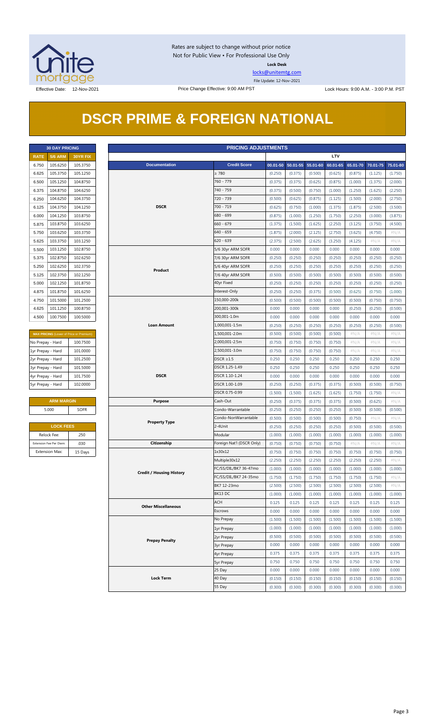

Rates are subject to change without prior notice Not for Public View • For Professional Use Only **Lock Desk**

[locks@unitemtg.com](mailto:locks@unitemtg.com)

File Update: 12-Nov-2021

# **DSCR PRIME & FOREIGN NATIONAL**

| <b>30 DAY PRICING</b> |                |                 |  |  |  |  |  |  |
|-----------------------|----------------|-----------------|--|--|--|--|--|--|
| <b>RATE</b>           | <b>5/6 ARM</b> | <b>30YR FIX</b> |  |  |  |  |  |  |
| 6.750                 | 105.6250       | 105.3750        |  |  |  |  |  |  |
| 6.625                 | 105.3750       | 105.1250        |  |  |  |  |  |  |
| 6.500                 | 105.1250       | 104.8750        |  |  |  |  |  |  |
| 6.375                 | 104.8750       | 104.6250        |  |  |  |  |  |  |
| 6.250                 | 104.6250       | 104.3750        |  |  |  |  |  |  |
| 6 1 2 5               | 104.3750       | 104.1250        |  |  |  |  |  |  |
| 6,000                 | 104.1250       | 103.8750        |  |  |  |  |  |  |
| 5.875                 | 103.8750       | 103.6250        |  |  |  |  |  |  |
| 5.750                 | 103.6250       | 103.3750        |  |  |  |  |  |  |
| 5.625                 | 103.3750       | 103.1250        |  |  |  |  |  |  |
| 5.500                 | 103.1250       | 102.8750        |  |  |  |  |  |  |
| 5.375                 | 102.8750       | 102.6250        |  |  |  |  |  |  |
| 5.250                 | 102.6250       | 102.3750        |  |  |  |  |  |  |
| 5.125                 | 102.3750       | 102.1250        |  |  |  |  |  |  |
| 5.000                 | 102.1250       | 101.8750        |  |  |  |  |  |  |
| 4.875                 | 101.8750       | 101.6250        |  |  |  |  |  |  |
| 4.750                 | 101.5000       | 101.2500        |  |  |  |  |  |  |
| 4.625                 | 101.1250       | 100.8750        |  |  |  |  |  |  |
| 4.500                 | 100.7500       | 100.5000        |  |  |  |  |  |  |

| <b>MAX PRICING</b> (Lower of Price or Premium) |          |  |  |  |  |  |  |
|------------------------------------------------|----------|--|--|--|--|--|--|
| No Prepay - Hard                               | 100.7500 |  |  |  |  |  |  |
| 1yr Prepay - Hard                              | 101.0000 |  |  |  |  |  |  |
| 2yr Prepay - Hard                              | 101.2500 |  |  |  |  |  |  |
| 3yr Prepay - Hard                              | 101.5000 |  |  |  |  |  |  |
| 4yr Prepay - Hard                              | 101.7500 |  |  |  |  |  |  |
| 5yr Prepay - Hard                              | 102.0000 |  |  |  |  |  |  |

| <b>ARM MARGIN</b> |             |  |  |  |  |  |  |
|-------------------|-------------|--|--|--|--|--|--|
| 5.000             | <b>SOFR</b> |  |  |  |  |  |  |
|                   |             |  |  |  |  |  |  |

| <b>LOCK FEES</b>        |         |  |  |  |  |  |  |
|-------------------------|---------|--|--|--|--|--|--|
| Relock Fee:             | .250    |  |  |  |  |  |  |
| Extension Fee Per Diem: | .030    |  |  |  |  |  |  |
| <b>Extension Max:</b>   | 15 Days |  |  |  |  |  |  |

| <b>PRICING ADJUSTMENTS</b><br><b>30 DAY PRICING</b> |                         |                                         |                       |                                 |                           |         |                            |         |            |         |                            |         |
|-----------------------------------------------------|-------------------------|-----------------------------------------|-----------------------|---------------------------------|---------------------------|---------|----------------------------|---------|------------|---------|----------------------------|---------|
| <b>RATE</b>                                         | <b>5/6 ARM</b>          | 30YR FIX                                |                       |                                 |                           |         |                            |         | <b>LTV</b> |         |                            |         |
| 6.750                                               | 105.6250                | 105.3750                                |                       | <b>Documentation</b>            | <b>Credit Score</b>       |         | 00.01-50 50.01-55 55.01-60 |         | 60.01-65   |         | 65.01-70 70.01-75 75.01-80 |         |
| 6.625                                               | 105.3750                | 105.1250                                |                       |                                 | $\geq 780$                | (0.250) | (0.375)                    | (0.500) | (0.625)    | (0.875) | (1.125)                    | (1.750) |
| 6.500                                               | 105.1250                | 104.8750                                |                       |                                 | 760 - 779                 | (0.375) | (0.375)                    | (0.625) | (0.875)    | (1.000) | (1.375)                    | (2.000) |
| 6.375                                               | 104.8750                | 104.6250                                |                       |                                 | 740 - 759                 | (0.375) | (0.500)                    | (0.750) | (1.000)    | (1.250) | (1.625)                    | (2.250) |
| 6.250                                               | 104.6250                | 104.3750                                |                       |                                 | 720 - 739                 | (0.500) | (0.625)                    | (0.875) | (1.125)    | (1.500) | (2.000)                    | (2.750) |
| 6.125                                               | 104.3750                | 104.1250                                |                       | <b>DSCR</b>                     |                           | (0.625) | (0.750)                    | (1.000) | (1.375)    | (1.875) | (2.500)                    | (3.500) |
| 6.000                                               | 104.1250                | 103.8750                                |                       |                                 | 680 - 699                 | (0.875) | (1.000)                    | (1.250) | (1.750)    | (2.250) | (3.000)                    | (3.875) |
| 5.875                                               | 103.8750                | 103.6250                                |                       |                                 |                           | (1.375) | (1.500)                    | (1.625) | (2.250)    | (3.125) | (3.750)                    | (4.500) |
| 5.750                                               | 103.6250                | 103.3750                                |                       |                                 |                           | (1.875) | (2.000)                    | (2.125) | (2.750)    | (3.625) | (4.750)                    | $\#N/A$ |
| 5.625                                               | 103.3750                | 103.1250                                |                       |                                 | 640 - 659<br>$620 - 639$  | (2.375) | (2.500)                    | (2.625) | (3.250)    | (4.125) | # $N/A$                    | $\#N/A$ |
|                                                     | 103.1250                | 102.8750                                |                       |                                 |                           | 0.000   | 0.000                      | 0.000   | 0.000      | 0.000   | 0.000                      | 0.000   |
| 5.500                                               |                         |                                         |                       |                                 | 5/6 30yr ARM SOFR         |         |                            |         |            |         |                            |         |
| 5.375                                               | 102.8750                | 102.6250                                |                       |                                 | 7/6 30yr ARM SOFR         | (0.250) | (0.250)                    | (0.250) | (0.250)    | (0.250) | (0.250)                    | (0.250) |
| 5.250                                               | 102.6250                | 102.3750                                |                       | Product                         | 5/6 40yr ARM SOFR         | (0.250) | (0.250)                    | (0.250) | (0.250)    | (0.250) | (0.250)                    | (0.250) |
| 5.125                                               | 102.3750                | 102.1250                                |                       |                                 | 7/6 40yr ARM SOFR         | (0.500) | (0.500)                    | (0.500) | (0.500)    | (0.500) | (0.500)                    | (0.500) |
| 5.000                                               | 102.1250                | 101.8750                                |                       |                                 | 40yr Fixed                | (0.250) | (0.250)                    | (0.250) | (0.250)    | (0.250) | (0.250)                    | (0.250) |
| 4.875                                               | 101.8750                | 101.6250                                |                       |                                 | Interest-Only             | (0.250) | (0.250)                    | (0.375) | (0.500)    | (0.625) | (0.750)                    | (1.000) |
| 4.750                                               | 101.5000                | 101.2500                                |                       |                                 | 150,000-200k              | (0.500) | (0.500)                    | (0.500) | (0.500)    | (0.500) | (0.750)                    | (0.750) |
| 4.625                                               | 101.1250                | 100.8750                                |                       |                                 | 200,001-300k              | 0.000   | 0.000                      | 0.000   | 0.000      | (0.250) | (0.250)                    | (0.500) |
| 4.500                                               | 100.7500                | 100.5000                                |                       |                                 | 300,001-1.0m              | 0.000   | 0.000                      | 0.000   | 0.000      | 0.000   | 0.000                      | 0.000   |
|                                                     |                         |                                         |                       | <b>Loan Amount</b>              | 1,000,001-1.5m            | (0.250) | (0.250)                    | (0.250) | (0.250)    | (0.250) | (0.250)                    | (0.500) |
|                                                     |                         | MAX PRICING (Lower of Price or Premium) |                       |                                 | 1,500,001-2.0m            | (0.500) | (0.500)                    | (0.500) | (0.500)    | $\#N/A$ | #N/A                       | $\#N/A$ |
| No Prepay - Hard                                    |                         | 100.7500                                |                       |                                 | 2,000,001-2.5m            | (0.750) | (0.750)                    | (0.750) | (0.750)    | # $N/A$ | # $N/A$                    | $\#N/A$ |
| 1yr Prepay - Hard                                   |                         | 101.0000                                |                       |                                 | 2,500,001-3.0m            | (0.750) | (0.750)                    | (0.750) | (0.750)    | # $N/A$ | # $N/A$                    | $\#N/A$ |
| 2yr Prepay - Hard                                   |                         | 101.2500                                |                       |                                 | $DSCR \geq 1.5$           | 0.250   | 0.250                      | 0.250   | 0.250      | 0.250   | 0.250                      | 0.250   |
| 3yr Prepay - Hard                                   |                         | 101.5000                                |                       |                                 | DSCR 1.25-1.49            | 0.250   | 0.250                      | 0.250   | 0.250      | 0.250   | 0.250                      | 0.250   |
| 4yr Prepay - Hard                                   |                         | 101.7500                                |                       | <b>DSCR</b>                     | DSCR 1.10-1.24            | 0.000   | 0.000                      | 0.000   | 0.000      | 0.000   | 0.000                      | 0.000   |
| 5yr Prepay - Hard                                   |                         | 102.0000                                |                       |                                 | DSCR 1.00-1.09            | (0.250) | (0.250)                    | (0.375) | (0.375)    | (0.500) | (0.500)                    | (0.750) |
|                                                     |                         |                                         |                       | DSCR 0.75-0.99                  | (1.500)                   | (1.500) | (1.625)                    | (1.625) | (1.750)    | (1.750) | $\#N/A$                    |         |
|                                                     | <b>ARM MARGIN</b>       |                                         |                       | <b>Purpose</b>                  | Cash-Out                  | (0.250) | (0.375)                    | (0.375) | (0.375)    | (0.500) | (0.625)                    | $\#N/A$ |
|                                                     | 5.000                   | <b>SOFR</b>                             |                       |                                 | Condo-Warrantable         | (0.250) | (0.250)                    | (0.250) | (0.250)    | (0.500) | (0.500)                    | (0.500) |
|                                                     |                         |                                         |                       |                                 | Condo-NonWarrantable      | (0.500) | (0.500)                    | (0.500) | (0.500)    | (0.750) | #N/A                       | #N/A    |
|                                                     | <b>LOCK FEES</b>        |                                         |                       | <b>Property Type</b>            | 2-4Unit                   | (0.250) | (0.250)                    | (0.250) | (0.250)    | (0.500) | (0.500)                    | (0.500) |
|                                                     |                         |                                         |                       |                                 | Modular                   |         |                            |         |            |         |                            |         |
|                                                     | Relock Fee:             | .250                                    |                       |                                 |                           | (1.000) | (1.000)                    | (1.000) | (1.000)    | (1.000) | (1.000)                    | (1.000) |
|                                                     | Extension Fee Per Diem: | .030                                    |                       | Citizenship                     | Foreign Nat'l (DSCR Only) | (0.750) | (0.750)                    | (0.750) | (0.750)    | $\#N/A$ | $\#N/A$                    | $\#N/A$ |
|                                                     | Extension Max:          | 15 Days                                 |                       |                                 | 1x30x12                   | (0.750) | (0.750)                    | (0.750) | (0.750)    | (0.750) | (0.750)                    | (0.750) |
|                                                     |                         |                                         |                       |                                 | Multiple30x12             | (2.250) | (2.250)                    | (2.250) | (2.250)    | (2.250) | (2.250)                    | $\#N/A$ |
|                                                     |                         |                                         |                       | <b>Credit / Housing History</b> | FC/SS/DIL/BK7 36-47mo     | (1.000) | (1.000)                    | (1.000) | (1.000)    | (1.000) | (1.000)                    | (1.000) |
|                                                     |                         |                                         |                       |                                 | FC/SS/DIL/BK7 24-35mo     | (1.750) | (1.750)                    | (1.750) | (1.750)    | (1.750) | (1.750)                    | $\#N/A$ |
|                                                     |                         |                                         |                       |                                 | BK7 12-23mo               | (2.500) | (2.500)                    | (2.500) | (2.500)    | (2.500) | (2.500)                    | # $N/A$ |
|                                                     |                         |                                         |                       |                                 | BK13 DC                   | (1.000) | (1.000)                    | (1.000) | (1.000)    | (1.000) | (1.000)                    | (1.000) |
|                                                     |                         |                                         |                       | <b>Other Miscellaneous</b>      | <b>ACH</b>                | 0.125   | 0.125                      | 0.125   | 0.125      | 0.125   | 0.125                      | 0.125   |
|                                                     |                         |                                         |                       |                                 | Escrows                   | 0.000   | 0.000                      | 0.000   | 0.000      | 0.000   | 0.000                      | 0.000   |
|                                                     |                         |                                         |                       |                                 | No Prepay                 | (1.500) | (1.500)                    | (1.500) | (1.500)    | (1.500) | (1.500)                    | (1.500) |
|                                                     |                         |                                         |                       |                                 | 1yr Prepay                | (1.000) | (1.000)                    | (1.000) | (1.000)    | (1.000) | (1.000)                    | (1.000) |
|                                                     |                         |                                         |                       | 2yr Prepay                      | (0.500)                   | (0.500) | (0.500)                    | (0.500) | (0.500)    | (0.500) | (0.500)                    |         |
|                                                     |                         |                                         | <b>Prepay Penalty</b> | <b>3yr Prepay</b>               | 0.000                     | 0.000   | 0.000                      | 0.000   | 0.000      | 0.000   | 0.000                      |         |
|                                                     |                         |                                         |                       | 4yr Prepay                      | 0.375                     | 0.375   | 0.375                      | 0.375   | 0.375      | 0.375   | 0.375                      |         |
|                                                     |                         |                                         |                       |                                 | <b>5yr Prepay</b>         | 0.750   | 0.750                      | 0.750   | 0.750      | 0.750   | 0.750                      | 0.750   |
|                                                     |                         |                                         |                       |                                 | 25 Day                    | 0.000   | 0.000                      | 0.000   | 0.000      | 0.000   | 0.000                      | 0.000   |
|                                                     |                         |                                         |                       | <b>Lock Term</b>                | 40 Day                    | (0.150) | (0.150)                    | (0.150) | (0.150)    | (0.150) | (0.150)                    | (0.150) |
|                                                     |                         |                                         |                       |                                 | 55 Day                    | (0.300) | (0.300)                    | (0.300) | (0.300)    | (0.300) | (0.300)                    | (0.300) |
|                                                     |                         |                                         |                       |                                 |                           |         |                            |         |            |         |                            |         |

#### Page 3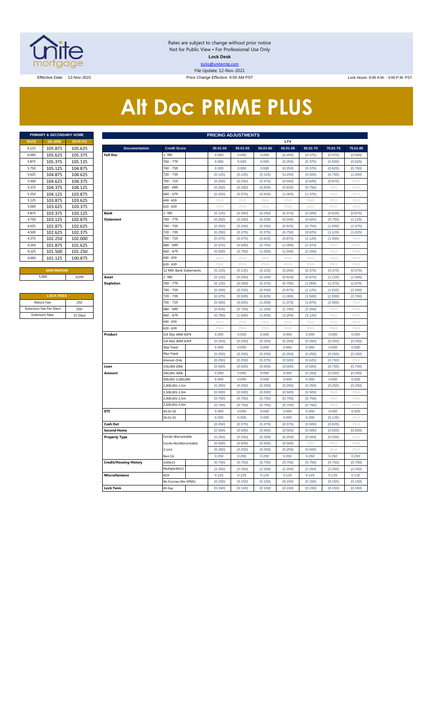

Rates are subject to change without prior notice Not for Public View • For Professional Use Only **Lock Desk** locks@unitemtg.com File Update: 12-Nov-2021

Effective: 9:00 AM PST Lock Hours: 9:00 AM. - 3:00 P.M. PST Lock Hours: 9:00 AM. - 3:00 P.M. PST

# **Alt Doc PRIME PLUS**

|             | <b>PRIMARY &amp; SECONDARY HOME</b> |                 |
|-------------|-------------------------------------|-----------------|
| <b>RATE</b> | <b>5/6 ARM</b>                      | <b>30YR FIX</b> |
| 6.125       | 105.875                             | 105.625         |
| 6.000       | 105.625                             | 105.375         |
| 5.875       | 105.375                             | 105.125         |
| 5.750       | 105.125                             | 104.875         |
| 5.625       | 104.875                             | 104.625         |
| 5.500       | 104.625                             | 104.375         |
| 5.375       | 104.375                             | 104.125         |
| 5.250       | 104.125                             | 103.875         |
| 5.125       | 103.875                             | 103.625         |
| 5.000       | 103.625                             | 103.375         |
| 4.875       | 103.375                             | 103.125         |
| 4.750       | 103.125                             | 102.875         |
| 4.625       | 102.875                             | 102.625         |
| 4.500       | 102.625                             | 102.375         |
| 4.375       | 102.250                             | 102.000         |
| 4.250       | 101.875                             | 101.625         |
| 4.125       | 101.500                             | 101.250         |
| 4.000       | 101.125                             | 100.875         |

| <b>LOCK FEES</b>              |         |
|-------------------------------|---------|
| Relock Fee:                   | .250    |
| <b>Extension Fee Per Diem</b> | .030    |
| <b>Extension Max:</b>         | 15 Days |

|                | PRIMARY & SECONDARY HOME |          | <b>PRICING ADJUSTMENTS</b>     |                        |                    |                           |                    |                           |                    |                    |               |  |  |  |  |
|----------------|--------------------------|----------|--------------------------------|------------------------|--------------------|---------------------------|--------------------|---------------------------|--------------------|--------------------|---------------|--|--|--|--|
| <b>RATE</b>    | <b>5/6 ARM</b>           | 30YR FIX |                                |                        |                    |                           |                    | LTV                       |                    |                    |               |  |  |  |  |
| 6.125          | 105.875                  | 105.625  | <b>Documentation</b>           | <b>Credit Score</b>    | 00.01-50           | 50.01-55                  | 55.01-60           | 60.01-65                  | 65.01-70           | 70.01-75           | 75.01-80      |  |  |  |  |
| 6.000          | 105.625                  | 105.375  | <b>Full Doc</b>                | 2780                   | 0.000              | 0.000                     | 0.000              | (0.250)                   | (0.375)            | (0.375)            | (0.500)       |  |  |  |  |
| 5.875          | 105.375                  | 105.125  |                                | 760 - 779              | 0.000              | 0.000                     | 0.000              | (0.250)                   | (0.375)            | (0.500)            | (0.625)       |  |  |  |  |
| 5.750          | 105.125                  | 104.875  |                                | 740 - 759              | 0.000              | 0.000                     | 0.000              | (0.250)                   | (0.375)            | (0.625)            | (0.750)       |  |  |  |  |
| 5.625          | 104.875                  | 104.625  |                                | 720 - 739              | (0.125)            | (0.125)                   | (0.125)            | (0.250)                   | (0.500)            | (0.750)            | (1.000)       |  |  |  |  |
| 5.500          | 104.625                  | 104.375  |                                | 700 - 719              | (0.250)            | (0.250)                   | (0.375)            | (0.500)                   | (0.625)            | (0.875)            | #N/A          |  |  |  |  |
| 5.375          | 104.375                  | 104.125  |                                | 680 - 699              | (0.250)            | (0.250)                   | (0.500)            | (0.625)                   | (0.750)            | #N/A               | #N/A          |  |  |  |  |
| 5.250          | 104.125                  | 103.875  |                                | 660 - 679              | (0.250)            | (0.375)                   | (0.500)            | (1.000)                   | (1.375)            | #N/A               | #N/A          |  |  |  |  |
| 5.125          | 103.875                  | 103.625  |                                | 640 - 659              | #N/A               | # $N/A$                   | $\#N/A$            | $\#\mathsf{N}/\mathsf{A}$ | $\#N/A$            | # $N/A$            | # $N/A$       |  |  |  |  |
| 5.000          | 103.625                  | 103.375  |                                | $620 - 639$            | $\#N/A$            | #N/A                      | #N/A               | $\#N/A$                   | #N/A               | #N/A               | $\#N/A$       |  |  |  |  |
| 4.875          | 103.375                  | 103.125  | Bank                           | $\geq 780$             | (0.125)            | (0.250)                   | (0.250)            | (0.375)                   | (0.500)            | (0.625)            | (0.875)       |  |  |  |  |
| 4.750          | 103.125                  | 102.875  | <b>Statement</b>               | 760 - 779              | (0.250)            | (0.250)                   | (0.250)            | (0.500)                   | (0.625)            | (0.750)            | (1.125)       |  |  |  |  |
| 4.625          | 102.875                  | 102.625  |                                | 740 - 759              | (0.250)            | (0.250)                   | (0.250)            | (0.625)                   | (0.750)            | (1.000)            | (1.375)       |  |  |  |  |
| 4.500          | 102.625                  | 102.375  |                                | 720 - 739              | (0.250)            | (0.375)                   | (0.375)            | (0.750)                   | (0.875)            | (1.125)            | (1.625)       |  |  |  |  |
| 4.375          | 102.250                  | 102.000  |                                | 700 - 719              | (0.375)            | (0.375)                   | (0.625)            | (0.875)                   | (1.125)            | (1.500)            | #N/A          |  |  |  |  |
| 4.250          | 101.875                  | 101.625  |                                | 680 - 699              | (0.375)            | (0.500)                   | (0.750)            | (1.000)                   | (1.375)            | #N/A               | $\#N/A$       |  |  |  |  |
| 4.125          | 101.500                  | 101.250  |                                | 660 - 679              | (0.500)            | (0.750)                   | (1.000)            | (1.500)                   | (2.250)            | $\#N/\ell$         | $\#N/\beta$   |  |  |  |  |
| 4.000          | 101.125                  | 100.875  |                                | 640 - 659              | #N/A               | #N/A                      | #N/A               | $\#N/A$                   | #N/A               | #N/A               | #N/A          |  |  |  |  |
|                |                          |          |                                | 620 - 639              | #N/A               | #N/A                      | #N/A               | #N/A                      | #N/A               | #N/A               | #N/A          |  |  |  |  |
|                | <b>ARM MARGIN</b>        |          |                                | 12 Mth Bank Statements | (0.125)            | (0.125)                   | (0.125)            | (0.250)                   | (0.375)            | (0.375)            | (0.375)       |  |  |  |  |
| 5.000          |                          | SOFR     | Asset                          | $\geq 780$             | (0.125)            | (0.250)                   | (0.250)            | (0.625)                   | (0.875)            | (1.125)            | (1.500)       |  |  |  |  |
|                |                          |          | <b>Depletion</b>               | 760 - 779              | (0.125)            | (0.250)                   | (0.375)            | (0.750)                   | (1.000)            | (1.375)            | (1.875)       |  |  |  |  |
|                |                          |          |                                | 740 - 759              | (0.250)            | (0.250)                   | (0.500)            | (0.875)                   | (1.125)            | (1.625)            | (2.250)       |  |  |  |  |
|                | <b>LOCK FEES</b>         |          |                                | 720 - 739              | (0.375)            | (0.500)                   | (0.625)            | (1.000)                   | (1.500)            | (2.000)            | (2.750)       |  |  |  |  |
|                | Relock Fee:<br>.250      |          |                                | 700 - 719              | (0.500)            | (0.625)                   | (1.000)            | (1.375)                   | (1.875)            | (2.500)            | #N/A          |  |  |  |  |
|                | xtension Fee Per Diem    | .030     |                                | 580 - 699              | (0.625)            | (0.750)                   | (1.250)            | (1.750)                   | (2.250)            | #N//               | #N/A          |  |  |  |  |
| Extension Max: |                          | 15 Days  |                                | 660 - 679              | (0.750)            | (1.000)                   | (1.500)            | (2.250)                   | (3.125)            | #N/A               | #N/A          |  |  |  |  |
|                |                          |          |                                | 640 - 659              | $\#N/A$            | $\#\mathsf{N}/\mathsf{A}$ | #N/A               | #N/A                      | #N/A               | #N/A               | #N/A          |  |  |  |  |
|                |                          |          |                                | 520 - 639              | # $N/A$            | #N/A                      | #N/A               | #N/A                      | #N/A               | #N/A               | #N/A          |  |  |  |  |
|                |                          |          | Product                        | 5/6 30yr ARM SOFR      | 0.000              | 0.000                     | 0.000              | 0.000                     | 0.000              | 0.000              | 0.000         |  |  |  |  |
|                |                          |          |                                | 5/6 40yr ARM SOFR      | (0.250)            | (0.250)                   | (0.250)            | (0.250)                   | (0.250)            | (0.250)            | (0.250)       |  |  |  |  |
|                |                          |          |                                | 30yr Fixed             | 0.000              | 0.000                     | 0.000              | 0.000                     | 0.000              | 0.000              | 0.000         |  |  |  |  |
|                |                          |          |                                | 40yr Fixed             | (0.250)            | (0.250)                   | (0.250)            | (0.250)                   | (0.250)            | (0.250)            | (0.250)       |  |  |  |  |
|                |                          |          |                                | Interest-Only          | (0.250)            | (0.250)                   | (0.375)            | (0.500)                   | (0.625)            | (0.750)            | #N/A          |  |  |  |  |
|                |                          |          | Loan                           | 150,000-200k           | (0.500)            | (0.500)                   | (0.500)            | (0.500)                   | (0.500)            | (0.750)            | (0.750)       |  |  |  |  |
|                |                          |          | Amount                         | 200,001-300k           | 0.000              | 0.000                     | 0.000              | 0.000                     | (0.250)            | (0.250)            | (0.250)       |  |  |  |  |
|                |                          |          |                                | 300,001-1,000,000      | 0.000              | 0.000                     | 0.000              | 0.000                     | 0.000              | 0.000              | 0.000         |  |  |  |  |
|                |                          |          |                                | 1,000,001-1.5m         | (0.250)            | (0.250)                   | (0.250)            | (0.250)                   | (0.250)            | (0.250)            | (0.250)       |  |  |  |  |
|                |                          |          |                                | 1,500,001-2.0m         | (0.500)            | (0.500)                   | (0.500)            | (0.500)                   | (0.500)            | $\#N/F$            | #N/A          |  |  |  |  |
|                |                          |          |                                | 2,000,001-2.5m         | (0.750)            | (0.750)                   | (0.750)            | (0.750)                   | (0.750)            | #N/A               | $\#N/A$       |  |  |  |  |
|                |                          |          | DTI                            | 2,500,001-3.0m         | (0.750)            | (0.750)                   | (0.750)            | (0.750)                   | (0.750)            | #N/A               | #N/A          |  |  |  |  |
|                |                          |          |                                | 43.01-50<br>50.01-55   | 0.000<br>0.000     | 0.000<br>0.000            | 0.000<br>0.000     | 0.000<br>0.000            | 0.000<br>0.000     | 0.000<br>(0.125)   | 0.000<br>#N// |  |  |  |  |
|                |                          |          |                                |                        |                    |                           |                    |                           |                    |                    | $\#N/A$       |  |  |  |  |
|                |                          |          | Cash Out<br><b>Second Home</b> |                        | (0.250)<br>(0.500) | (0.375)<br>(0.500)        | (0.375)<br>(0.500) | (0.375)<br>(0.500)        | (0.500)<br>(0.500) | (0.625)<br>(0.500) | (0.500)       |  |  |  |  |
|                |                          |          | <b>Property Type</b>           | Condo-Warrantable      | (0.250)            | (0.250)                   | (0.250)            | (0.250)                   | (0.500)            | (0.500)            | $\#N/F$       |  |  |  |  |
|                |                          |          |                                | Condo-NonWarrantable   | (0.500)            | (0.500)                   | (0.500)            | (0.500)                   | #N/A               | #N/A               | #N/A          |  |  |  |  |
|                |                          |          |                                | 2-Unit                 | (0.250)            | (0.250)                   | (0.250)            | (0.250)                   | (0.500)            | #N/A               | #N/A          |  |  |  |  |
|                |                          |          |                                | Non CA                 | 0.250              | 0.250                     | 0.250              | 0.250                     | 0.250              | 0.250              | 0.250         |  |  |  |  |
|                |                          |          | <b>Credit/Housing History</b>  | 1x30x12                | (0.750)            | (0.750)                   | (0.750)            | (0.750)                   | (0.750)            | (0.750)            | (0.750)       |  |  |  |  |
|                |                          |          |                                | Multiple30x12          | (2.250)            | (2.250)                   | (2.250)            | (2.250)                   | (2.250)            | (2.250)            | (2.250)       |  |  |  |  |
|                |                          |          | <b>Misccellaneous</b>          | ACH                    | 0.125              | 0.125                     | 0.125              | 0.125                     | 0.125              | 0.125              | 0.125         |  |  |  |  |
|                |                          |          |                                | No Escrows (No HPML)   | (0.150)            | (0.150)                   | (0.150)            | (0.150)                   | (0.150)            | (0.150)            | (0.150)       |  |  |  |  |
|                |                          |          | <b>Lock Term</b>               | 45 Day                 | (0.150)            | (0.150)                   | (0.150)            | (0.150)                   | (0.150)            | (0.150)            | (0.150)       |  |  |  |  |
|                |                          |          |                                |                        |                    |                           |                    |                           |                    |                    |               |  |  |  |  |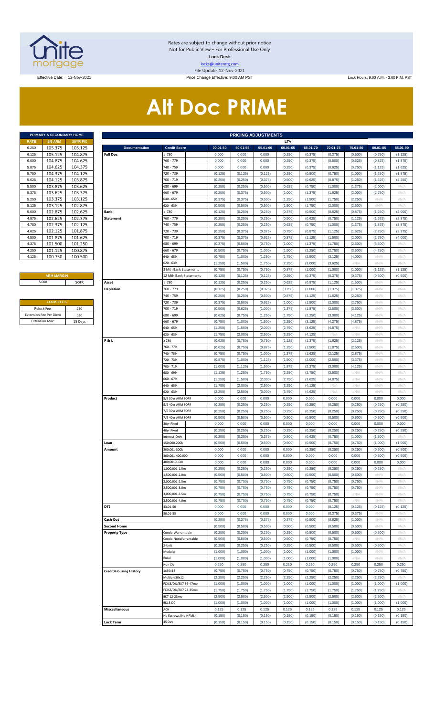

Rates are subject to change without prior notice Not for Public View • For Professional Use Only **Lock Desk** locks@unitemtg.com File Update: 12-Nov-2021

Effective Date: 12-Nov-2021 Price Change Effective: 9:00 AM PST Lock Hours: 9:00 A.M. - 3:00 P.M. PST

# **Alt Doc PRIME**

|             | <b>PRIMARY &amp; SECONDARY HOME</b> |                 |
|-------------|-------------------------------------|-----------------|
| <b>RATE</b> | <b>5/6 ARM</b>                      | <b>30YR FIX</b> |
| 6.250       | 105.375                             | 105.125         |
| 6.125       | 105.125                             | 104.875         |
| 6.000       | 104.875                             | 104.625         |
| 5.875       | 104.625                             | 104.375         |
| 5.750       | 104.375                             | 104.125         |
| 5.625       | 104.125                             | 103.875         |
| 5.500       | 103.875                             | 103.625         |
| 5.375       | 103.625                             | 103.375         |
| 5.250       | 103.375                             | 103.125         |
| 5.125       | 103.125                             | 102.875         |
| 5.000       | 102.875                             | 102.625         |
| 4.875       | 102.625                             | 102.375         |
| 4.750       | 102.375                             | 102.125         |
| 4.625       | 102.125                             | 101.875         |
| 4.500       | 101.875                             | 101.625         |
| 4.375       | 101.500                             | 101.250         |
| 4.250       | 101.125                             | 100.875         |
| 4.125       | 100.750                             | 100.500         |

#### **ARM MARGIN** 5.000

| <b>LOCK FEES</b>              |         |  |  |  |  |  |  |  |  |  |
|-------------------------------|---------|--|--|--|--|--|--|--|--|--|
| Relock Fee:                   | .250    |  |  |  |  |  |  |  |  |  |
| <b>Extension Fee Per Diem</b> | .030    |  |  |  |  |  |  |  |  |  |
| <b>Extension Max:</b>         | 15 Days |  |  |  |  |  |  |  |  |  |

|                       | PRIMARY & SECONDARY HOME |                    | <b>PRICING ADJUSTMENTS</b>    |                          |  |                    |                    |                    |                    |                    |                    |                    |                    |                    |
|-----------------------|--------------------------|--------------------|-------------------------------|--------------------------|--|--------------------|--------------------|--------------------|--------------------|--------------------|--------------------|--------------------|--------------------|--------------------|
| RATE                  | <b>5/6 ARM</b>           | 30YR FIX           |                               |                          |  |                    |                    |                    | LTV                |                    |                    |                    |                    |                    |
| 6.250                 | 105.375                  | 105.125            | <b>Documentation</b>          | <b>Credit Score</b>      |  | 00.01-50           | 50.01-55           | 55.01-60           | 60.01-65           | 65.01-70           | 70.01-75           | 75.01-80           | 80.01-85           | 85.01-90           |
| 6.125                 | 105.125                  | 104.875            | <b>Full Doc</b>               | $\geq 780$               |  | 0.000              | 0.000              | 0.000              | (0.250)            | (0.375)            | (0.375)            | (0.500)            | (0.750)            | (1.125)            |
| 6.000                 | 104.875                  | 104.625            |                               | 760 - 779                |  | 0.000              | 0.000              | 0.000              | (0.250)            | (0.375)            | (0.500)            | (0.625)            | (0.875)            | (1.375)            |
| 5.875                 | 104.625                  | 104.375            |                               | 740 - 759                |  | 0.000              | 0.000              | 0.000              | (0.250)            | (0.375)            | (0.625)            | (0.750)            | (1.125)            | (1.625)            |
| 5.750                 | 104.375                  | 104.125            |                               | 720 - 739                |  | (0.125)            | (0.125)            | (0.125)            | (0.250)            | (0.500)            | (0.750)            | (1.000)            | (1.250)            | (1.875)            |
| 5.625                 | 104.125                  | 103.875            |                               | 700 - 719                |  | (0.250)            | (0.250)            | (0.375)            | (0.500)            | (0.625)            | (0.875)            | (1.250)            | (1.625)            | (2.250)            |
| 5.500                 | 103.875                  | 103.625            |                               | 680 - 699                |  | (0.250)            | (0.250)            | (0.500)            | (0.625)            | (0.750)            | (1.000)            | (1.375)            | (2.000)            | #N/A               |
| 5.375                 | 103.625                  | 103.375            |                               | 660 - 679                |  | (0.250)            | (0.375)            | (0.500)            | (1.000)            | (1.375)            | (1.625)            | (2.000)            | (2.750)            | #N/A               |
| 5.250                 | 103.375                  | 103.125            |                               | 640 - 659                |  | (0.375)            | (0.375)            | (0.500)            | (1.250)            | (1.500)            | (1.750)            | (2.250)            | #N/A               | #N/A               |
| 5.125                 | 103.125<br>102.875       | 102.875            |                               | 620 - 639<br>$\geq 780$  |  | (0.500)            | (0.500)            | (0.500)            | (1.500)            | (1.750)            | (2.000)            | (2.500)            | #N/A               | #N/A               |
| 5.000<br>4.875        |                          | 102.625            | Bank<br><b>Statement</b>      |                          |  | (0.125)            | (0.250)            | (0.250)            | (0.375)            | (0.500)            | (0.625)            | (0.875)            | (1.250)            | (2.000)            |
| 4.750                 | 102.625<br>102.375       | 102.375<br>102.125 |                               | 760 - 779<br>740 - 759   |  | (0.250)<br>(0.250) | (0.250)<br>(0.250) | (0.250)<br>(0.250) | (0.500)<br>(0.625) | (0.625)<br>(0.750) | (0.750)<br>(1.000) | (1.125)<br>(1.375) | (1.625)<br>(1.875) | (2.375)<br>(2.875) |
| 4.625                 | 102.125                  | 101.875            |                               | 720 - 739                |  | (0.250)            | (0.375)            | (0.375)            | (0.750)            | (0.875)            | (1.125)            | (1.625)            | (2.250)            | (3.375)            |
| 4.500                 | 101.875                  | 101.625            |                               | 700 - 719                |  | (0.375)            | (0.375)            | (0.625)            | (0.875)            | (1.125)            | (1.500)            | (2.000)            | (2.750)            | (4.000)            |
| 4.375                 | 101.500                  | 101.250            |                               | 680 - 699                |  | (0.375)            | (0.500)            | (0.750)            | (1.000)            | (1.375)            | (1.750)            | (2.500)            | (3.500)            | #N/A               |
| 4.250                 | 101.125                  | 100.875            |                               | 660 - 679                |  | (0.500)            | (0.750)            | (1.000)            | (1.500)            | (2.250)            | (2.750)            | (3.500)            | (4.250)            | #N/A               |
| 4.125                 | 100.750                  | 100.500            |                               | 640 - 659                |  | (0.750)            | (1.000)            | (1.250)            | (1.750)            | (2.500)            | (3.125)            | (4.000)            | #N/A               | #N/A               |
|                       |                          |                    |                               | 620 - 639                |  | (1.250)            | (1.500)            | (1.750)            | (2.250)            | (3.000)            | (3.625)            | #N/A               | #N/A               | #N/A               |
|                       |                          |                    |                               | 3 Mth Bank Statements    |  | (0.750)            | (0.750)            | (0.750)            | (0.875)            | (1.000)            | (1.000)            | (1.000)            | (1.125)            | (1.125)            |
|                       | <b>ARM MARGIN</b>        |                    |                               | 12 Mth Bank Statements   |  | (0.125)            | (0.125)            | (0.125)            | (0.250)            | (0.375)            | (0.375)            | (0.375)            | (0.500)            | (0.500)            |
|                       | 5.000                    | SOFR               | Asset                         | > 780                    |  | (0.125)            | (0.250)            | (0.250)            | (0.625)            | (0.875)            | (1.125)            | (1.500)            | #N/A               | #N/A               |
|                       |                          |                    | <b>Depletion</b>              | 760 - 779                |  | (0.125)            | (0.250)            | (0.375)            | (0.750)            | (1.000)            | (1.375)            | (1.875)            | #N/A               | #N/A               |
|                       |                          |                    |                               | 740 - 759                |  | (0.250)            | (0.250)            | (0.500)            | (0.875)            | (1.125)            | (1.625)            | (2.250)            | #N/A               | #N/A               |
|                       | <b>LOCK FEES</b>         |                    |                               | 720 - 739                |  | (0.375)            | (0.500)            | (0.625)            | (1.000)            | (1.500)            | (2.000)            | (2.750)            | #N/A               | #N/A               |
|                       | Relock Fee:              | .250               |                               | 700 - 719                |  | (0.500)            | (0.625)            | (1.000)            | (1.375)            | (1.875)            | (2.500)            | (3.500)            | #N/A               | #N/A               |
|                       | xtension Fee Per Diem    | .030               |                               | 580 - 699                |  | (0.625)            | (0.750)            | (1.250)            | (1.750)            | (2.250)            | (3.000)            | (4.125)            | #N/A               | #N/A               |
| <b>Extension Max:</b> |                          | 15 Days            |                               | 660 - 679                |  | (0.750)            | (1.000)            | (1.500)            | (2.250)            | (3.125)            | (4.375)            | (4.875)            | #N/A               | #N/A               |
|                       |                          |                    |                               | 640 - 659                |  | (1.250)            | (1.500)            | (2.000)            | (2.750)            | (3.625)            | (4.875)            | #N/A               | #N/A               | #N/A               |
|                       |                          |                    |                               | 620 - 639                |  | (1.750)            | (2.000)            | (2.500)            | (3.250)            | (4.125)            | #N/A               | #N//               | #N/A               | #N/A               |
|                       |                          |                    | P&L                           | ≥ 780                    |  | (0.625)            | (0.750)            | (0.750)            | (1.125)            | (1.375)            | (1.625)            | (2.125)            | #N/A               | #N/A               |
|                       |                          |                    |                               | 760 - 779                |  | (0.625)            | (0.750)            | (0.875)            | (1.250)            | (1.500)            | (1.875)            | (2.500)            | #N/A               | #N/A               |
|                       |                          |                    |                               | 740 - 759                |  | (0.750)            | (0.750)            | (1.000)            | (1.375)            | (1.625)            | (2.125)            | (2.875)            | #N/A               | #N/A               |
|                       |                          |                    |                               | 720 - 739                |  | (0.875)            | (1.000)            | (1.125)            | (1.500)            | (2.000)            | (2.500)            | (3.375)            | #N/A               | #N/A               |
|                       |                          |                    |                               | 700 - 719                |  | (1.000)            | (1.125)            | (1.500)            | (1.875)            | (2.375)            | (3.000)            | (4.125)            | #N/A               | #N/A               |
|                       |                          |                    |                               | 680 - 699                |  | (1.125)            | (1.250)            | (1.750)            | (2.250)            | (2.750)            | (3.500)            | #N/A               | #N/A               | #N/A               |
|                       |                          |                    |                               | 660 - 679                |  | (1.250)            | (1.500)            | (2.000)            | (2.750)            | (3.625)            | (4.875)            | #N/A               | #N/A               | #N/A               |
|                       |                          |                    |                               | 640 - 659                |  | (1.750)            | (2.000)            | (2.500)            | (3.250)            | (4.125)            | #N/A               | #N/A               | #N/A               | #N/A               |
|                       |                          |                    |                               | 620 - 639                |  | (2.250)            | (2.500)            | (3.000)            | (3.750)            | (4.625)            | #N/A               | #N/A               | #N/A               | #N/A               |
|                       |                          |                    | Product                       | 5/6 30yr ARM SOFR        |  | 0.000              | 0.000              | 0.000              | 0.000              | 0.000              | 0.000              | 0.000              | 0.000              | 0.000              |
|                       |                          |                    |                               | 5/6 40yr ARM SOFR        |  | (0.250)            | (0.250)            | (0.250)            | (0.250)            | (0.250)            | (0.250)            | (0.250)            | (0.250)            | (0.250)            |
|                       |                          |                    |                               | 7/6 30yr ARM SOFR        |  | (0.250)            | (0.250)            | (0.250)            | (0.250)            | (0.250)            | (0.250)            | (0.250)            | (0.250)            | (0.250)            |
|                       |                          |                    |                               | 7/6 40yr ARM SOFR        |  | (0.500)            | (0.500)            | (0.500)            | (0.500)            | (0.500)            | (0.500)            | (0.500)            | (0.500)            | (0.500)            |
|                       |                          |                    |                               | 30yr Fixed<br>40yr Fixed |  | 0.000<br>(0.250)   | 0.000<br>(0.250)   | 0.000<br>(0.250)   | 0.000<br>(0.250)   | 0.000<br>(0.250)   | 0.000<br>(0.250)   | 0.000<br>(0.250)   | 0.000<br>(0.250)   | 0.000<br>(0.250)   |
|                       |                          |                    |                               | Interest-Only            |  | (0.250)            | (0.250)            | (0.375)            | (0.500)            | (0.625)            | (0.750)            | (1.000)            | (1.500)            | #N/A               |
|                       |                          |                    | Loan                          | 150,000-200k             |  | (0.500)            | (0.500)            | (0.500)            | (0.500)            | (0.500)            | (0.750)            | (0.750)            | (1.000)            | (1.000)            |
|                       |                          |                    | Amount                        | 200,001-300k             |  | 0.000              | 0.000              | 0.000              | 0.000              | (0.250)            | (0.250)            | (0.250)            | (0.500)            | (0.500)            |
|                       |                          |                    |                               | 300,001-400,000          |  | 0.000              | 0.000              | 0.000              | 0.000              | 0.000              | 0.000              | 0.000              | (0.500)            | (0.500)            |
|                       |                          |                    |                               | 400,001-1.0m             |  | 0.000              | 0.000              | 0.000              | 0.000              | 0.000              | 0.000              | 0.000              | 0.000              | 0.000              |
|                       |                          |                    |                               | 1,000,001-1.5m           |  | (0.250)            | (0.250)            | (0.250)            | (0.250)            | (0.250)            | (0.250)            | (0.250)            | (0.250)            | #N/A               |
|                       |                          |                    |                               | .,500,001-2.0m           |  | (0.500)            | (0.500)            | (0.500)            | (0.500)            | (0.500)            | (0.500)            | (0.500)            | #N/A               | #N/A               |
|                       |                          |                    |                               | 2,000,001-2.5m           |  | (0.750)            | (0.750)            | (0.750)            | (0.750)            | (0.750)            | (0.750)            | (0.750)            | #N/A               | #N/A               |
|                       |                          |                    |                               | 2,500,001-3.0m           |  | (0.750)            | (0.750)            | (0.750)            | (0.750)            | (0.750)            | (0.750)            | (0.750)            | #N/A               | #N/A               |
|                       |                          |                    |                               | 3,000,001-3.5m           |  | (0.750)            | (0.750)            | (0.750)            | (0.750)            | (0.750)            | (0.750)            | #N/A               | #N/A               | #N/A               |
|                       |                          |                    |                               | 3,500,001-4.0m           |  | (0.750)            | (0.750)            | (0.750)            | (0.750)            | (0.750)            | (0.750)            | $\#N/A$            | #N/A               | #N/A               |
|                       |                          |                    | DTI                           | 43.01-50                 |  | 0.000              | 0.000              | 0.000              | 0.000              | 0.000              | (0.125)            | (0.125)            | (0.125)            | (0.125)            |
|                       |                          |                    |                               | 50.01-55                 |  | 0.000              | 0.000              | 0.000              | 0.000              | 0.000              | (0.375)            | (0.375)            | #N/A               | #N/A               |
|                       |                          |                    | Cash Out                      |                          |  | (0.250)            | (0.375)            | (0.375)            | (0.375)            | (0.500)            | (0.625)            | (1.000)            | #N/A               | #N/A               |
|                       |                          |                    | Second Home                   |                          |  | (0.500)            | (0.500)            | (0.500)            | (0.500)            | (0.500)            | (0.500)            | (0.500)            | #N/A               | #N/A               |
|                       |                          |                    | <b>Property Type</b>          | Condo-Warrantable        |  | (0.250)            | (0.250)            | (0.250)            | (0.250)            | (0.500)            | (0.500)            | (0.500)            | (0.500)            | #N/A               |
|                       |                          |                    |                               | Condo-NonWarrantable     |  | (0.500)            | (0.500)            | (0.500)            | (0.500)            | (0.750)            | (0.750)            | #N/A               | #N/A               | #N/A               |
|                       |                          |                    |                               | 2-Unit                   |  | (0.250)            | (0.250)            | (0.250)            | (0.250)            | (0.500)            | (0.500)            | (0.500)            | (0.500)            | #N/A               |
|                       |                          |                    |                               | Modular                  |  | (1.000)            | (1.000)            | (1.000)            | (1.000)            | (1.000)            | (1.000)            | (1.000)            | #N/A               | #N/A               |
|                       |                          |                    |                               | Rural                    |  | (1.000)            | (1.000)            | (1.000)            | (1.000)            | (1.000)            | (1.000)            | $\#N/A$            | #N/A               | #N/A               |
|                       |                          |                    |                               | Non CA<br>1x30x12        |  | 0.250<br>(0.750)   | 0.250<br>(0.750)   | 0.250<br>(0.750)   | 0.250<br>(0.750)   | 0.250<br>(0.750)   | 0.250<br>(0.750)   | 0.250<br>(0.750)   | 0.250<br>(0.750)   | 0.250<br>(0.750)   |
|                       |                          |                    | <b>Credit/Housing History</b> | Multiple30x12            |  | (2.250)            | (2.250)            | (2.250)            | (2.250)            | (2.250)            | (2.250)            | (2.250)            | (2.250)            | #N/A               |
|                       |                          |                    |                               | FC/SS/DIL/BK7 36-47mo    |  | (1.000)            | (1.000)            | (1.000)            | (1.000)            | (1.000)            | (1.000)            | (1.000)            | (1.000)            | (1.000)            |
|                       |                          |                    |                               | FC/SS/DIL/BK7 24-35mo    |  | (1.750)            | (1.750)            | (1.750)            | (1.750)            | (1.750)            | (1.750)            | (1.750)            | (1.750)            | #N/A               |
|                       |                          |                    |                               | BK7 12-23mo              |  | (2.500)            | (2.500)            | (2.500)            | (2.500)            | (2.500)            | (2.500)            | (2.500)            | (2.500)            | #N/A               |
|                       |                          |                    |                               | BK13DC                   |  | (1.000)            | (1.000)            | (1.000)            | (1.000)            | (1.000)            | (1.000)            | (1.000)            | (1.000)            | (1.000)            |
|                       |                          |                    | <b>Misccellaneous</b>         | ACH                      |  | 0.125              | 0.125              | 0.125              | 0.125              | 0.125              | 0.125              | 0.125              | 0.125              | 0.125              |
|                       |                          |                    |                               | No Escrows (No HPML)     |  | (0.150)            | (0.150)            | (0.150)            | (0.150)            | (0.150)            | (0.150)            | (0.150)            | (0.150)            | (0.150)            |
|                       |                          |                    | <b>Lock Term</b>              | 45 Day                   |  | (0.150)            | (0.150)            | (0.150)            | (0.150)            | (0.150)            | (0.150)            | (0.150)            | (0.150)            | (0.150)            |
|                       |                          |                    |                               |                          |  |                    |                    |                    |                    |                    |                    |                    |                    |                    |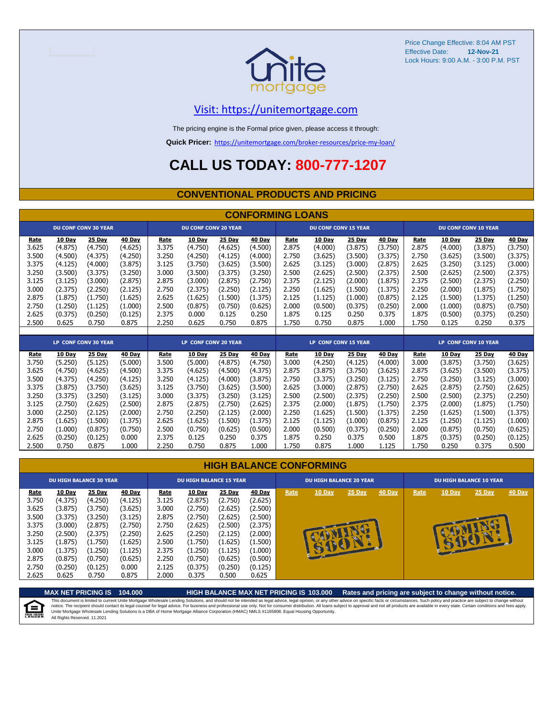

Price Change Effective: 8:04 AM PST Effective Date: Lock Hours: 9:00 A.M. - 3:00 P.M. PST **12-Nov-21**

### [V](https://unitemortgage.com/)isit: https://unitemortgage.com

The pricing engine is the Formal price given, please access it through:

**Quick Pricer:** [https://un](https://unitemortgage.com/broker-resources/price-my-loan/)itemortgage.com/broker-resources/price-my-loan/

# **CALL US TODAY: 800-777-1207**

### **CONVENTIONAL PRODUCTS AND PRICING**

| <b>CONFORMING LOANS</b> |         |                             |         |       |                             |         |         |                             |                             |         |         |                             |               |                             |         |
|-------------------------|---------|-----------------------------|---------|-------|-----------------------------|---------|---------|-----------------------------|-----------------------------|---------|---------|-----------------------------|---------------|-----------------------------|---------|
|                         |         | <b>DU CONF CONV 30 YEAR</b> |         |       | <b>DU CONF CONV 20 YEAR</b> |         |         |                             | <b>DU CONF CONV 15 YEAR</b> |         |         |                             |               | <b>DU CONF CONV 10 YEAR</b> |         |
| Rate                    | 10 Day  | 25 Day                      | 40 Day  | Rate  | 10 Day                      | 25 Day  | 40 Day  | Rate                        | 10 Day                      | 25 Day  | 40 Day  | Rate                        | 10 Day        | 25 Day                      | 40 Day  |
| 3.625                   | (4.875) | (4.750)                     | (4.625) | 3.375 | (4.750)                     | (4.625) | (4.500) | 2.875                       | (4.000)                     | (3.875) | (3.750) | 2.875                       | (4.000)       | (3.875)                     | (3.750) |
| 3.500                   | (4.500) | (4.375)                     | (4.250) | 3.250 | (4.250)                     | (4.125) | (4.000) | 2.750                       | (3.625)                     | (3.500) | (3.375) | 2.750                       | (3.625)       | (3.500)                     | (3.375) |
| 3.375                   | (4.125) | (4.000)                     | (3.875) | 3.125 | (3.750)                     | (3.625) | (3.500) | 2.625                       | (3.125)                     | (3.000) | (2.875) | 2.625                       | (3.250)       | (3.125)                     | (3.000) |
| 3.250                   | (3.500) | (3.375)                     | (3.250) | 3.000 | (3.500)                     | (3.375) | (3.250) | 2.500                       | (2.625)                     | (2.500) | (2.375) | 2.500                       | (2.625)       | (2.500)                     | (2.375) |
| 3.125                   | (3.125) | (3.000)                     | (2.875) | 2.875 | (3.000)                     | (2.875) | (2.750) | 2.375                       | (2.125)                     | (2.000) | (1.875) | 2.375                       | (2.500)       | (2.375)                     | (2.250) |
| 3.000                   | (2.375) | (2.250)                     | (2.125) | 2.750 | (2.375)                     | (2.250) | (2.125) | 2.250                       | (1.625)                     | (1.500) | (1.375) | 2.250                       | (2.000)       | (1.875)                     | (1.750) |
| 2.875                   | (1.875) | (1.750)                     | (1.625) | 2.625 | (1.625)                     | (1.500) | (1.375) | 2.125                       | (1.125)                     | (1.000) | (0.875) | 2.125                       | (1.500)       | (1.375)                     | (1.250) |
| 2.750                   | (1.250) | (1.125)                     | (1.000) | 2.500 | (0.875)                     | (0.750) | (0.625) | 2.000                       | (0.500)                     | (0.375) | (0.250) | 2.000                       | (1.000)       | (0.875)                     | (0.750) |
| 2.625                   | (0.375) | (0.250)                     | (0.125) | 2.375 | 0.000                       | 0.125   | 0.250   | 1.875                       | 0.125                       | 0.250   | 0.375   | 1.875                       | (0.500)       | (0.375)                     | (0.250) |
| 2.500                   | 0.625   | 0.750                       | 0.875   | 2.250 | 0.625                       | 0.750   | 0.875   | 1.750                       | 0.750                       | 0.875   | 1.000   | 1.750                       | 0.125         | 0.250                       | 0.375   |
|                         |         |                             |         |       |                             |         |         |                             |                             |         |         |                             |               |                             |         |
|                         |         | <b>LP CONF CONV 30 YEAR</b> |         |       | <b>LP CONF CONV 20 YEAR</b> |         |         | <b>LP CONF CONV 15 YEAR</b> |                             |         |         | <b>LP CONF CONV 10 YEAR</b> |               |                             |         |
| <u>Rate</u>             | 10 Day  | 25 Day                      | 40 Day  | Rate  | 10 Day                      | 25 Day  | 40 Day  | Rate                        | 10 Day                      | 25 Day  | 40 Day  | Rate                        | <b>10 Day</b> | 25 Day                      | 40 Day  |
| 3.750                   | (5.250) | (5.125)                     | (5.000) | 3.500 | (5.000)                     | (4.875) | (4.750) | 3.000                       | (4.250)                     | (4.125) | (4.000) | 3.000                       | (3.875)       | (3.750)                     | (3.625) |
| 3.625                   | (4.750) | (4.625)                     | (4.500) | 3.375 | (4.625)                     | (4.500) | (4.375) | 2.875                       | (3.875)                     | (3.750) | (3.625) | 2.875                       | (3.625)       | (3.500)                     | (3.375) |
| 3.500                   | (4.375) | (4.250)                     | (4.125) | 3.250 | (4.125)                     | (4.000) | (3.875) | 2.750                       | (3.375)                     | (3.250) | (3.125) | 2.750                       | (3.250)       | (3.125)                     | (3.000) |
| 3.375                   | (3.875) | (3.750)                     | (3.625) | 3.125 | (3.750)                     | (3.625) | (3.500) | 2.625                       | (3.000)                     | (2.875) | (2.750) | 2.625                       | (2.875)       | (2.750)                     | (2.625) |
| 3.250                   | (3.375) | (3.250)                     | (3.125) | 3.000 | (3.375)                     | (3.250) | (3.125) | 2.500                       | (2.500)                     | (2.375) | (2.250) | 2.500                       | (2.500)       | (2.375)                     | (2.250) |
| 3.125                   | (2.750) | (2.625)                     | (2.500) | 2.875 | (2.875)                     | (2.750) | (2.625) | 2.375                       | (2.000)                     | (1.875) | (1.750) | 2.375                       | (2.000)       | (1.875)                     | (1.750) |
| 3.000                   | (2.250) | (2.125)                     | (2.000) | 2.750 | (2.250)                     | (2.125) | (2.000) | 2.250                       | (1.625)                     | (1.500) | (1.375) | 2.250                       | (1.625)       | (1.500)                     | (1.375) |
| 2.875                   | (1.625) | (1.500)                     | (1.375) | 2.625 | (1.625)                     | (1.500) | (1.375) | 2.125                       | (1.125)                     | (1.000) | (0.875) | 2.125                       | (1.250)       | (1.125)                     | (1.000) |

|  | <b>HIGH BALANCE CONFORMING</b> |
|--|--------------------------------|
|  |                                |

2.750 (1.000) (0.875) (0.750) 2.500 (0.750) (0.625) (0.500) 2.000 (0.500) (0.375) (0.250) 2.000 (0.875) (0.750) (0.625) 2.625 (0.250) (0.125) 0.000 2.375 0.125 0.250 0.375 1.875 0.250 0.375 0.500 1.875 (0.375) (0.250) (0.125) 2.500 0.750 0.875 1.000 2.250 0.750 0.875 1.000 1.750 0.875 1.000 1.125 1.750 0.250 0.375 0.500

|       | <b>DU HIGH BALANCE 30 YEAR</b> |         |         |       | <b>DU HIGH BALANCE 15 YEAR</b> |         |         |      | <b>DU HIGH BALANCE 20 YEAR</b> |        |        | <b>DU HIGH BALANCE 10 YEAR</b> |               |          |               |  |
|-------|--------------------------------|---------|---------|-------|--------------------------------|---------|---------|------|--------------------------------|--------|--------|--------------------------------|---------------|----------|---------------|--|
| Rate  | 10 Day                         | 25 Day  | 40 Day  | Rate  | <b>10 Day</b>                  | 25 Day  | 40 Day  | Rate | 10 Day                         | 25 Day | 40 Day | Rate                           | <b>10 Day</b> | $25$ Day | <b>40 Day</b> |  |
| 3.750 | (4.375)                        | (4.250) | (4.125) | 3.125 | (2.875)                        | (2.750) | (2.625) |      |                                |        |        |                                |               |          |               |  |
| 3.625 | (3.875)                        | (3.750) | (3.625) | 3.000 | (2.750)                        | (2.625) | (2.500) |      |                                |        |        |                                |               |          |               |  |
| 3.500 | (3.375)                        | (3.250) | (3.125) | 2.875 | (2.750)                        | (2.625) | (2.500) |      |                                |        |        |                                |               |          |               |  |
| 3.375 | (3.000)                        | (2.875) | (2.750) | 2.750 | (2.625)                        | (2.500) | (2.375) |      |                                |        |        |                                |               |          |               |  |
| 3.250 | (2.500)                        | (2.375) | (2.250) | 2.625 | (2.250)                        | (2.125) | (2.000) |      |                                |        |        |                                |               | e en     |               |  |
| 3.125 | (1.875)                        | (1.750) | (1.625) | 2.500 | (1.750)                        | (1.625) | (1.500) |      |                                | æ<br>E |        |                                |               |          |               |  |
| 3.000 | (1.375)                        | (1.250) | (1.125) | 2.375 | (1.250)                        | (1.125) | (1.000) |      | <b>EV</b>                      |        |        |                                |               |          |               |  |
| 2.875 | (0.875)                        | (0.750) | (0.625) | 2.250 | (0.750)                        | (0.625) | (0.500) |      |                                |        |        |                                |               |          |               |  |
| 2.750 | (0.250)                        | (0.125) | 0.000   | 2.125 | (0.375)                        | (0.250) | (0.125) |      |                                |        |        |                                |               |          |               |  |
| 2.625 | 0.625                          | 0.750   | 0.875   | 2.000 | 0.375                          | 0.500   | 0.625   |      |                                |        |        |                                |               |          |               |  |

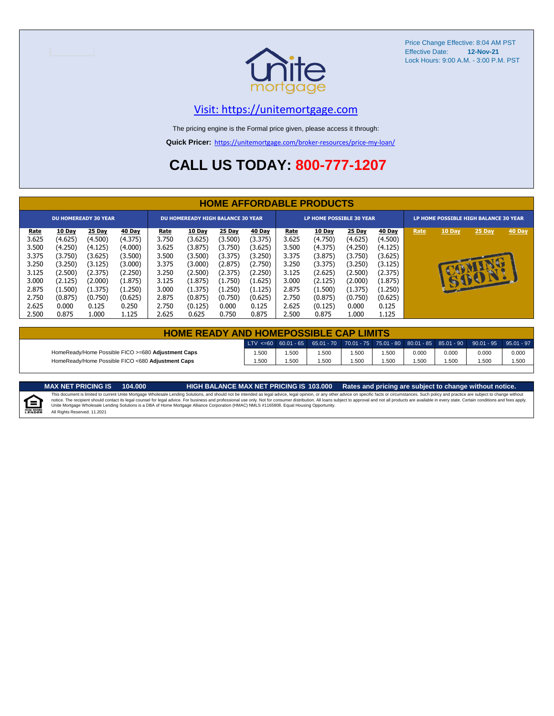

Price Change Effective: 8:04 AM PST Effective Date: **12-Nov-21** Lock Hours: 9:00 A.M. - 3:00 P.M. PST

### [V](https://unitemortgage.com/)isit: https://unitemortgage.com

The pricing engine is the Formal price given, please access it through:

**Quick Pricer:** [https://un](https://unitemortgage.com/broker-resources/price-my-loan/)itemortgage.com/broker-resources/price-my-loan/

# **CALL US TODAY: 800-777-1207**

|                             | <b>HOME AFFORDABLE PRODUCTS</b> |         |         |                                          |               |         |         |                                 |               |         |         |                                       |              |        |        |
|-----------------------------|---------------------------------|---------|---------|------------------------------------------|---------------|---------|---------|---------------------------------|---------------|---------|---------|---------------------------------------|--------------|--------|--------|
| <b>DU HOMEREADY 30 YEAR</b> |                                 |         |         | <b>DU HOMEREADY HIGH BALANCE 30 YEAR</b> |               |         |         | <b>LP HOME POSSIBLE 30 YEAR</b> |               |         |         | LP HOME POSSIBLE HIGH BALANCE 30 YEAR |              |        |        |
| <u>Rate</u>                 | 10 Day                          | 25 Day  | 40 Day  | <u>Rate</u>                              | <b>10 Day</b> | 25 Day  | 40 Day  | <u>Rate</u>                     | <b>10 Day</b> | 25 Day  | 40 Day  | Rate                                  | 10 Day       | 25 Day | 40 Day |
| 3.625                       | (4.625)                         | (4.500) | (4.375) | 3.750                                    | (3.625)       | (3.500) | (3.375) | 3.625                           | (4.750)       | (4.625) | (4.500) |                                       |              |        |        |
| 3.500                       | (4.250)                         | (4.125) | (4.000) | 3.625                                    | (3.875)       | (3.750) | (3.625) | 3.500                           | (4.375)       | (4.250) | (4.125) |                                       |              |        |        |
| 3.375                       | (3.750)                         | (3.625) | (3.500) | 3.500                                    | (3.500)       | (3.375) | (3.250) | 3.375                           | (3.875)       | (3.750) | (3.625) |                                       |              |        |        |
| 3.250                       | (3.250)                         | (3.125) | (3.000) | 3.375                                    | (3.000)       | (2.875) | (2.750) | 3.250                           | (3.375)       | (3.250) | (3.125) |                                       |              |        |        |
| 3.125                       | (2.500)                         | (2.375) | (2.250) | 3.250                                    | (2.500)       | (2.375) | (2.250) | 3.125                           | (2.625)       | (2.500) | (2.375) |                                       |              |        |        |
| 3.000                       | (2.125)                         | (2.000) | (1.875) | 3.125                                    | (1.875)       | (1.750) | (1.625) | 3.000                           | (2.125)       | (2.000) | (1.875) |                                       | $\mathbf{r}$ | DOI    |        |
| 2.875                       | (1.500)                         | (1.375) | (1.250) | 3.000                                    | (1.375)       | (1.250) | (1.125) | 2.875                           | (1.500)       | (1.375) | (1.250) |                                       |              |        |        |
| 2.750                       | (0.875)                         | (0.750) | (0.625) | 2.875                                    | (0.875)       | (0.750) | (0.625) | 2.750                           | (0.875)       | (0.750) | (0.625) |                                       |              |        |        |
| 2.625                       | 0.000                           | 0.125   | 0.250   | 2.750                                    | (0.125)       | 0.000   | 0.125   | 2.625                           | (0.125)       | 0.000   | 0.125   |                                       |              |        |        |
| 2.500                       | 0.875                           | 1.000   | 1.125   | 2.625                                    | 0.625         | 0.750   | 0.875   | 2.500                           | 0.875         | 1.000   | 1.125   |                                       |              |        |        |

| <b>HOME READY AND HOMEPOSSIBLE CAP LIMITS</b>      |      |      |      |      |      |       |       |                                                                                                              |       |  |  |  |
|----------------------------------------------------|------|------|------|------|------|-------|-------|--------------------------------------------------------------------------------------------------------------|-------|--|--|--|
|                                                    |      |      |      |      |      |       |       | $\text{LTV} \leq 60$ 60.01 - 65 65.01 - 70 70.01 - 75 75.01 - 80 80.01 - 85 85.01 - 90 90.01 - 95 95.01 - 97 |       |  |  |  |
| HomeReady/Home Possible FICO >=680 Adjustment Caps | .500 | .500 | .500 | .500 | .500 | 0.000 | 0.000 | 0.000                                                                                                        | 0.000 |  |  |  |
| HomeReady/Home Possible FICO <680 Adjustment Caps  | .500 | .500 | .500 | .500 | .500 | .500  | .500  | .500                                                                                                         | .500  |  |  |  |

E

MAX NET PRICING IS 103.000 Rates and pricing are subject to change without notice.<br>This document is limited to current Unite Mortgage Wholesale Lending Solutions, and should not be intended as legal advice, legal opinion, All Rights Reserved. 11.2021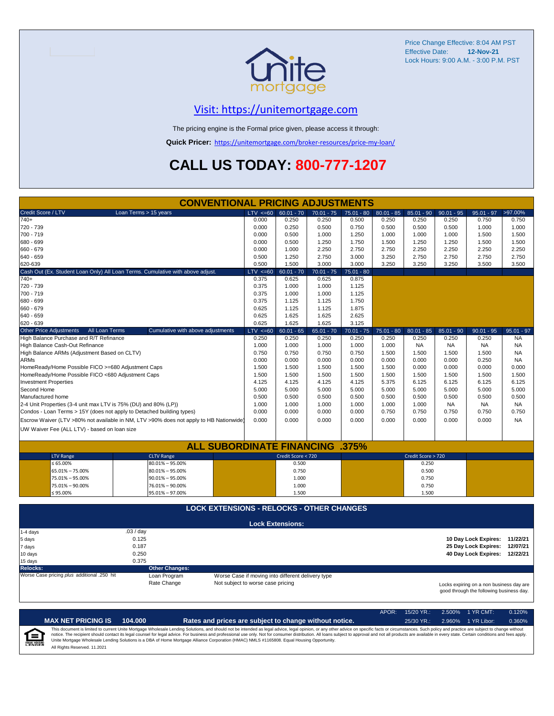

Price Change Effective: 8:04 AM PST Effective Date: **12-Nov-21** Lock Hours: 9:00 A.M. - 3:00 P.M. PST

## [V](https://unitemortgage.com/)isit: https://unitemortgage.com

The pricing engine is the Formal price given, please access it through:

**Quick Pricer:** [https://un](https://unitemortgage.com/broker-resources/price-my-loan/)itemortgage.com/broker-resources/price-my-loan/

# **CALL US TODAY: 800-777-1207**

|                                                                                | <b>CONVENTIONAL PRICING ADJUSTMENTS</b>                                                |                                                                                                                           |                                                   |              |              |              |                    |              |                               |              |
|--------------------------------------------------------------------------------|----------------------------------------------------------------------------------------|---------------------------------------------------------------------------------------------------------------------------|---------------------------------------------------|--------------|--------------|--------------|--------------------|--------------|-------------------------------|--------------|
| Credit Score / LTV                                                             | Loan Terms > 15 years                                                                  | $LTV \le 60$                                                                                                              | $60.01 - 70$                                      | $70.01 - 75$ | $75.01 - 80$ | $80.01 - 85$ | $85.01 - 90$       | $90.01 - 95$ | $95.01 - 97$                  | >97.00%      |
| $740+$                                                                         |                                                                                        | 0.000                                                                                                                     | 0.250                                             | 0.250        | 0.500        | 0.250        | 0.250              | 0.250        | 0.750                         | 0.750        |
| 720 - 739                                                                      |                                                                                        | 0.000                                                                                                                     | 0.250                                             | 0.500        | 0.750        | 0.500        | 0.500              | 0.500        | 1.000                         | 1.000        |
| 700 - 719                                                                      |                                                                                        | 0.000                                                                                                                     | 0.500                                             | 1.000        | 1.250        | 1.000        | 1.000              | 1.000        | 1.500                         | 1.500        |
| 680 - 699                                                                      |                                                                                        | 0.000                                                                                                                     | 0.500                                             | 1.250        | 1.750        | 1.500        | 1.250              | 1.250        | 1.500                         | 1.500        |
| 660 - 679                                                                      |                                                                                        | 0.000                                                                                                                     | 1.000                                             | 2.250        | 2.750        | 2.750        | 2.250              | 2.250        | 2.250                         | 2.250        |
| 640 - 659                                                                      |                                                                                        | 0.500                                                                                                                     | 1.250                                             | 2.750        | 3.000        | 3.250        | 2.750              | 2.750        | 2.750                         | 2.750        |
| 620-639                                                                        |                                                                                        | 0.500                                                                                                                     | 1.500                                             | 3.000        | 3.000        | 3.250        | 3.250              | 3.250        | 3.500                         | 3.500        |
| Cash Out (Ex. Student Loan Only) All Loan Terms. Cumulative with above adjust. |                                                                                        | $LTV < =60$                                                                                                               | $60.01 - 70$                                      | $70.01 - 75$ | $75.01 - 80$ |              |                    |              |                               |              |
| $740+$                                                                         |                                                                                        | 0.375                                                                                                                     | 0.625                                             | 0.625        | 0.875        |              |                    |              |                               |              |
| 720 - 739                                                                      |                                                                                        | 0.375                                                                                                                     | 1.000                                             | 1.000        | 1.125        |              |                    |              |                               |              |
| 700 - 719                                                                      |                                                                                        | 0.375                                                                                                                     | 1.000                                             | 1.000        | 1.125        |              |                    |              |                               |              |
| 680 - 699                                                                      |                                                                                        | 0.375                                                                                                                     | 1.125                                             | 1.125        | 1.750        |              |                    |              |                               |              |
| 660 - 679                                                                      |                                                                                        | 0.625                                                                                                                     | 1.125                                             | 1.125        | 1.875        |              |                    |              |                               |              |
| 640 - 659                                                                      |                                                                                        | 0.625                                                                                                                     | 1.625                                             | 1.625        | 2.625        |              |                    |              |                               |              |
| 620 - 639                                                                      |                                                                                        | 0.625                                                                                                                     | 1.625                                             | 1.625        | 3.125        |              |                    |              |                               |              |
| <b>Other Price Adjustments</b><br>All Loan Terms                               | Cumulative with above adjustments                                                      | $LTV < =60$                                                                                                               | $60.01 - 65$                                      | $65.01 - 70$ | $70.01 - 75$ | $75.01 - 80$ | $80.01 - 85$       | $85.01 - 90$ | $90.01 - 95$                  | $95.01 - 97$ |
| High Balance Purchase and R/T Refinance                                        |                                                                                        | 0.250                                                                                                                     | 0.250                                             | 0.250        | 0.250        | 0.250        | 0.250              | 0.250        | 0.250                         | <b>NA</b>    |
| High Balance Cash-Out Refinance                                                |                                                                                        | 1.000                                                                                                                     | 1.000                                             | 1.000        | 1.000        | 1.000        | <b>NA</b>          | <b>NA</b>    | <b>NA</b>                     | <b>NA</b>    |
| High Balance ARMs (Adjustment Based on CLTV)                                   |                                                                                        | 0.750                                                                                                                     | 0.750                                             | 0.750        | 0.750        | 1.500        | 1.500              | 1.500        | 1.500                         | <b>NA</b>    |
| <b>ARMs</b>                                                                    |                                                                                        | 0.000                                                                                                                     | 0.000                                             | 0.000        | 0.000        | 0.000        | 0.000              | 0.000        | 0.250                         | <b>NA</b>    |
| HomeReady/Home Possible FICO >=680 Adjustment Caps                             |                                                                                        | 1.500                                                                                                                     | 1.500                                             | 1.500        | 1.500        | 1.500        | 0.000              | 0.000        | 0.000                         | 0.000        |
| HomeReady/Home Possible FICO <680 Adjustment Caps                              |                                                                                        | 1.500                                                                                                                     | 1.500                                             | 1.500        | 1.500        | 1.500        | 1.500              | 1.500        | 1.500                         | 1.500        |
| <b>Investment Properties</b>                                                   |                                                                                        | 4.125                                                                                                                     | 4.125                                             | 4.125        | 4.125        | 5.375        | 6.125              | 6.125        | 6.125                         | 6.125        |
| Second Home                                                                    |                                                                                        | 5.000                                                                                                                     | 5.000                                             | 5.000        | 5.000        | 5.000        | 5.000              | 5.000        | 5.000                         | 5.000        |
| Manufactured home                                                              |                                                                                        | 0.500                                                                                                                     | 0.500                                             | 0.500        | 0.500        | 0.500        | 0.500              | 0.500        | 0.500                         | 0.500        |
| 2-4 Unit Properties (3-4 unit max LTV is 75% (DU) and 80% (LP))                |                                                                                        | 1.000                                                                                                                     | 1.000                                             | 1.000        | 1.000        | 1.000        | 1.000              | <b>NA</b>    | <b>NA</b>                     | NA.          |
| Condos - Loan Terms > 15Y (does not apply to Detached building types)          |                                                                                        | 0.000                                                                                                                     | 0.000                                             | 0.000        | 0.000        | 0.750        | 0.750              | 0.750        | 0.750                         | 0.750        |
|                                                                                | Escrow Waiver (LTV >80% not available in NM, LTV >90% does not apply to HB Nationwide) | 0.000                                                                                                                     | 0.000                                             | 0.000        | 0.000        | 0.000        | 0.000              | 0.000        | 0.000                         | <b>NA</b>    |
| UW Waiver Fee (ALL LTV) - based on loan size                                   |                                                                                        |                                                                                                                           |                                                   |              |              |              |                    |              |                               |              |
|                                                                                |                                                                                        |                                                                                                                           |                                                   |              |              |              |                    |              |                               |              |
|                                                                                | <b>ALL SUBORDINATE FINANCING</b>                                                       |                                                                                                                           |                                                   |              | .375%        |              |                    |              |                               |              |
| <b>LTV Range</b>                                                               | <b>CLTV Range</b>                                                                      |                                                                                                                           | Credit Score < 720                                |              |              |              | Credit Score > 720 |              |                               |              |
| $\le 65.00\%$                                                                  | $80.01\% - 95.00\%$                                                                    |                                                                                                                           | 0.500                                             |              |              |              | 0.250              |              |                               |              |
| 65.01% - 75.00%                                                                | 80.01% - 95.00%                                                                        |                                                                                                                           | 0.750                                             |              |              |              | 0.500              |              |                               |              |
| 75.01% - 95.00%                                                                | $90.01\% - 95.00\%$                                                                    |                                                                                                                           | 1.000                                             |              |              |              | 0.750              |              |                               |              |
| 75.01% - 90.00%                                                                | 76.01% - 90.00%                                                                        |                                                                                                                           | 1.000                                             |              |              |              | 0.750              |              |                               |              |
| $≤ 95.00\%$                                                                    | 95.01% - 97.00%                                                                        |                                                                                                                           | 1.500                                             |              |              |              | 1.500              |              |                               |              |
|                                                                                |                                                                                        |                                                                                                                           |                                                   |              |              |              |                    |              |                               |              |
|                                                                                | <b>LOCK EXTENSIONS - RELOCKS - OTHER CHANGES</b>                                       |                                                                                                                           |                                                   |              |              |              |                    |              |                               |              |
|                                                                                |                                                                                        |                                                                                                                           | <b>Lock Extensions:</b>                           |              |              |              |                    |              |                               |              |
| 1-4 days                                                                       | .03 / day                                                                              |                                                                                                                           |                                                   |              |              |              |                    |              |                               |              |
| 5 days                                                                         | 0.125                                                                                  |                                                                                                                           |                                                   |              |              |              |                    |              | 10 Day Lock Expires:          | 11/22/21     |
| 7 days                                                                         | 0.187                                                                                  |                                                                                                                           |                                                   |              |              |              |                    |              | 25 Day Lock Expires:          | 12/07/21     |
| 10 days                                                                        | 0.250                                                                                  |                                                                                                                           |                                                   |              |              |              |                    |              | 40 Day Lock Expires: 12/22/21 |              |
| 15 days                                                                        | 0.375                                                                                  |                                                                                                                           |                                                   |              |              |              |                    |              |                               |              |
| <b>Relocks:</b>                                                                | <b>Other Changes:</b>                                                                  |                                                                                                                           |                                                   |              |              |              |                    |              |                               |              |
| Worse Case pricing plus additional .250 hit                                    | Loan Program                                                                           |                                                                                                                           | Worse Case if moving into different delivery type |              |              |              |                    |              |                               |              |
|                                                                                | Rate Change                                                                            | Not subject to worse case pricing<br>Locks expiring on a non business day are<br>good through the following business day. |                                                   |              |              |              |                    |              |                               |              |